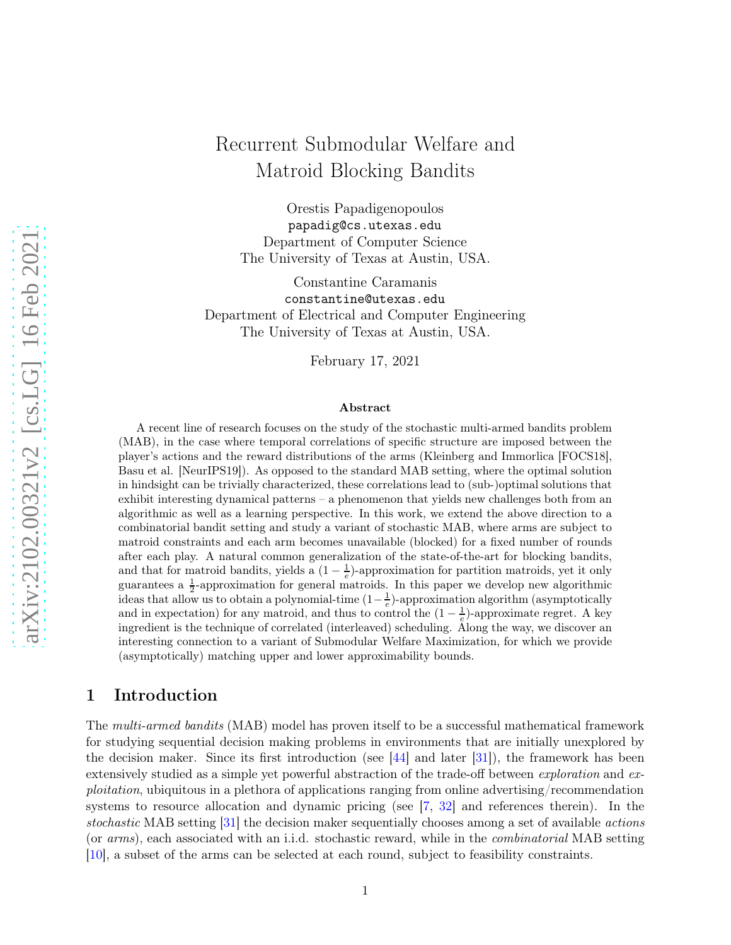# arXiv:2102.00321v2 [cs.LG] 16 Feb 2021 [arXiv:2102.00321v2 \[cs.LG\] 16 Feb 2021](http://arxiv.org/abs/2102.00321v2)

# Recurrent Submodular Welfare and Matroid Blocking Bandits

Orestis Papadigenopoulos papadig@cs.utexas.edu Department of Computer Science The University of Texas at Austin, USA.

Constantine Caramanis constantine@utexas.edu Department of Electrical and Computer Engineering The University of Texas at Austin, USA.

February 17, 2021

### Abstract

A recent line of research focuses on the study of the stochastic multi-armed bandits problem (MAB), in the case where temporal correlations of specific structure are imposed between the player's actions and the reward distributions of the arms (Kleinberg and Immorlica [FOCS18], Basu et al. [NeurIPS19]). As opposed to the standard MAB setting, where the optimal solution in hindsight can be trivially characterized, these correlations lead to (sub-)optimal solutions that exhibit interesting dynamical patterns – a phenomenon that yields new challenges both from an algorithmic as well as a learning perspective. In this work, we extend the above direction to a combinatorial bandit setting and study a variant of stochastic MAB, where arms are subject to matroid constraints and each arm becomes unavailable (blocked) for a fixed number of rounds after each play. A natural common generalization of the state-of-the-art for blocking bandits, and that for matroid bandits, yields a  $(1 - \frac{1}{e})$ -approximation for partition matroids, yet it only guarantees a  $\frac{1}{2}$ -approximation for general matroids. In this paper we develop new algorithmic ideas that allow us to obtain a polynomial-time  $(1-\frac{1}{e})$ -approximation algorithm (asymptotically and in expectation) for any matroid, and thus to control the  $(1 - \frac{1}{e})$ -approximate regret. A key ingredient is the technique of correlated (interleaved) scheduling. Along the way, we discover an interesting connection to a variant of Submodular Welfare Maximization, for which we provide (asymptotically) matching upper and lower approximability bounds.

# 1 Introduction

The multi-armed bandits (MAB) model has proven itself to be a successful mathematical framework for studying sequential decision making problems in environments that are initially unexplored by the decision maker. Since its first introduction (see  $|44|$  and later  $|31|$ ), the framework has been extensively studied as a simple yet powerful abstraction of the trade-off between *exploration* and *ex*ploitation, ubiquitous in a plethora of applications ranging from online advertising/recommendation systems to resource allocation and dynamic pricing (see  $[7, 32]$  $[7, 32]$  and references therein). In the stochastic MAB setting [\[31\]](#page-14-1) the decision maker sequentially chooses among a set of available actions (or arms), each associated with an i.i.d. stochastic reward, while in the combinatorial MAB setting [\[10\]](#page-12-1), a subset of the arms can be selected at each round, subject to feasibility constraints.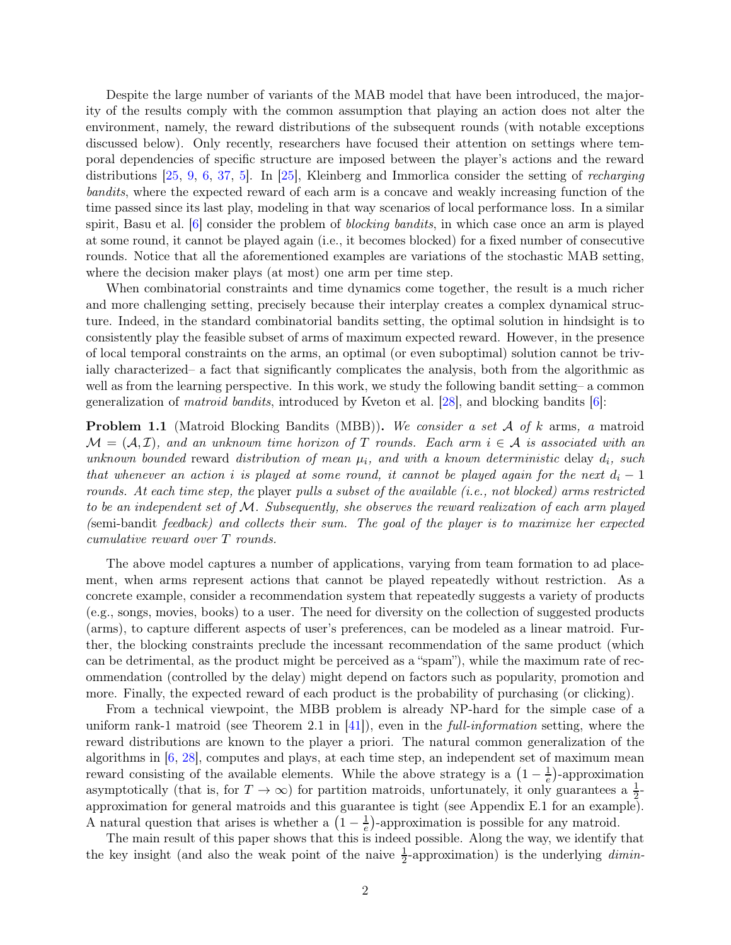Despite the large number of variants of the MAB model that have been introduced, the majority of the results comply with the common assumption that playing an action does not alter the environment, namely, the reward distributions of the subsequent rounds (with notable exceptions discussed below). Only recently, researchers have focused their attention on settings where temporal dependencies of specific structure are imposed between the player's actions and the reward distributions [\[25,](#page-13-0) [9,](#page-12-2) [6,](#page-12-3) [37,](#page-14-3) [5\]](#page-12-4). In [\[25\]](#page-13-0), Kleinberg and Immorlica consider the setting of recharging bandits, where the expected reward of each arm is a concave and weakly increasing function of the time passed since its last play, modeling in that way scenarios of local performance loss. In a similar spirit, Basu et al.  $[6]$  consider the problem of *blocking bandits*, in which case once an arm is played at some round, it cannot be played again (i.e., it becomes blocked) for a fixed number of consecutive rounds. Notice that all the aforementioned examples are variations of the stochastic MAB setting, where the decision maker plays (at most) one arm per time step.

When combinatorial constraints and time dynamics come together, the result is a much richer and more challenging setting, precisely because their interplay creates a complex dynamical structure. Indeed, in the standard combinatorial bandits setting, the optimal solution in hindsight is to consistently play the feasible subset of arms of maximum expected reward. However, in the presence of local temporal constraints on the arms, an optimal (or even suboptimal) solution cannot be trivially characterized– a fact that significantly complicates the analysis, both from the algorithmic as well as from the learning perspective. In this work, we study the following bandit setting– a common generalization of matroid bandits, introduced by Kveton et al. [\[28\]](#page-14-4), and blocking bandits [\[6\]](#page-12-3):

**Problem 1.1** (Matroid Blocking Bandits (MBB)). We consider a set  $A$  of  $k$  arms, a matroid  $\mathcal{M} = (\mathcal{A}, \mathcal{I})$ , and an unknown time horizon of T rounds. Each arm  $i \in \mathcal{A}$  is associated with an unknown bounded reward distribution of mean  $\mu_i$ , and with a known deterministic delay  $d_i$ , such that whenever an action i is played at some round, it cannot be played again for the next  $d_i - 1$ rounds. At each time step, the player pulls a subset of the available (i.e., not blocked) arms restricted to be an independent set of  $M$ . Subsequently, she observes the reward realization of each arm played (semi-bandit feedback) and collects their sum. The goal of the player is to maximize her expected cumulative reward over T rounds.

The above model captures a number of applications, varying from team formation to ad placement, when arms represent actions that cannot be played repeatedly without restriction. As a concrete example, consider a recommendation system that repeatedly suggests a variety of products (e.g., songs, movies, books) to a user. The need for diversity on the collection of suggested products (arms), to capture different aspects of user's preferences, can be modeled as a linear matroid. Further, the blocking constraints preclude the incessant recommendation of the same product (which can be detrimental, as the product might be perceived as a "spam"), while the maximum rate of recommendation (controlled by the delay) might depend on factors such as popularity, promotion and more. Finally, the expected reward of each product is the probability of purchasing (or clicking).

From a technical viewpoint, the MBB problem is already NP-hard for the simple case of a uniform rank-1 matroid (see Theorem 2.1 in  $|41|$ ), even in the *full-information* setting, where the reward distributions are known to the player a priori. The natural common generalization of the algorithms in  $[6, 28]$  $[6, 28]$ , computes and plays, at each time step, an independent set of maximum mean reward consisting of the available elements. While the above strategy is a  $(1 - \frac{1}{e})$ -approximation asymptotically (that is, for  $T \to \infty$ ) for partition matroids, unfortunately, it only guarantees a  $\frac{1}{2}$ approximation for general matroids and this guarantee is tight (see Appendix [E.1](#page-29-0) for an example). A natural question that arises is whether a  $\left(1-\frac{1}{e}\right)$  $\frac{1}{e}$ )-approximation is possible for any matroid.

The main result of this paper shows that this is indeed possible. Along the way, we identify that the key insight (and also the weak point of the naive  $\frac{1}{2}$ -approximation) is the underlying *dimin*-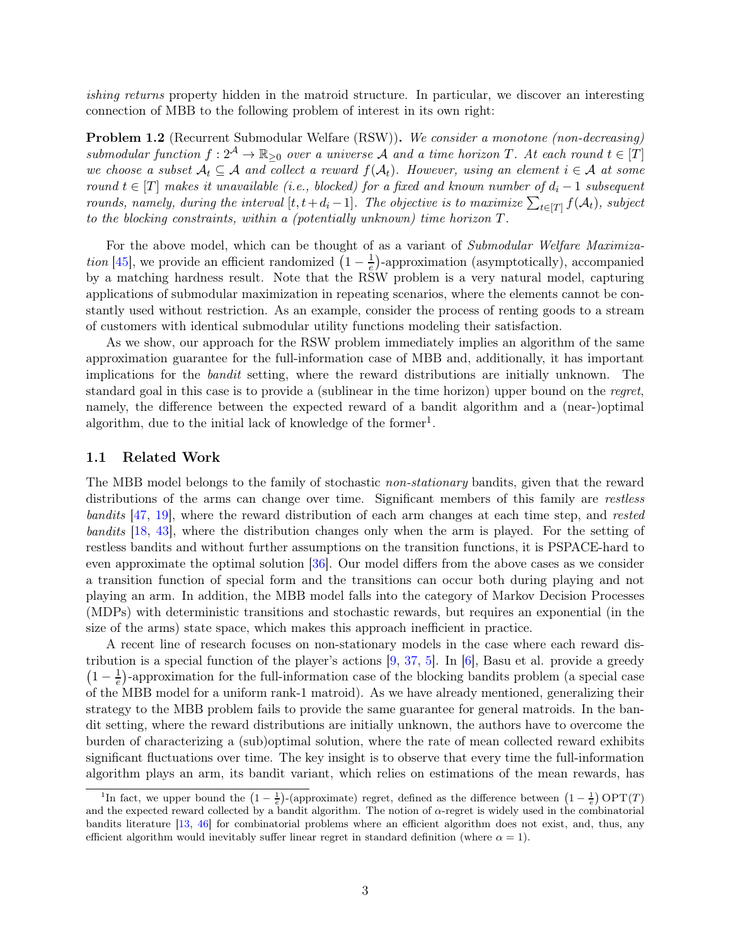ishing returns property hidden in the matroid structure. In particular, we discover an interesting connection of MBB to the following problem of interest in its own right:

Problem 1.2 (Recurrent Submodular Welfare (RSW)). We consider a monotone (non-decreasing) submodular function  $f: 2^{\mathcal{A}} \to \mathbb{R}_{\geq 0}$  over a universe A and a time horizon T. At each round  $t \in [T]$ we choose a subset  $A_t \subseteq A$  and collect a reward  $f(A_t)$ . However, using an element  $i \in A$  at some round  $t \in [T]$  makes it unavailable (i.e., blocked) for a fixed and known number of  $d_i - 1$  subsequent rounds, namely, during the interval  $[t, t+d_i-1]$ . The objective is to maximize  $\sum_{t \in [T]} f(A_t)$ , subject to the blocking constraints, within a (potentially unknown) time horizon T.

For the above model, which can be thought of as a variant of Submodular Welfare Maximiza*tion* [\[45\]](#page-15-0), we provide an efficient randomized  $\left(1 - \frac{1}{e}\right)$  $\frac{1}{e}$ )-approximation (asymptotically), accompanied by a matching hardness result. Note that the RSW problem is a very natural model, capturing applications of submodular maximization in repeating scenarios, where the elements cannot be constantly used without restriction. As an example, consider the process of renting goods to a stream of customers with identical submodular utility functions modeling their satisfaction.

As we show, our approach for the RSW problem immediately implies an algorithm of the same approximation guarantee for the full-information case of MBB and, additionally, it has important implications for the bandit setting, where the reward distributions are initially unknown. The standard goal in this case is to provide a (sublinear in the time horizon) upper bound on the regret, namely, the difference between the expected reward of a bandit algorithm and a (near-)optimal algorithm, due to the initial lack of knowledge of the former<sup>[1](#page-2-0)</sup>.

### 1.1 Related Work

The MBB model belongs to the family of stochastic non-stationary bandits, given that the reward distributions of the arms can change over time. Significant members of this family are restless bandits [\[47,](#page-15-1) [19\]](#page-13-1), where the reward distribution of each arm changes at each time step, and rested bandits [\[18,](#page-13-2) [43\]](#page-14-6), where the distribution changes only when the arm is played. For the setting of restless bandits and without further assumptions on the transition functions, it is PSPACE-hard to even approximate the optimal solution [\[36\]](#page-14-7). Our model differs from the above cases as we consider a transition function of special form and the transitions can occur both during playing and not playing an arm. In addition, the MBB model falls into the category of Markov Decision Processes (MDPs) with deterministic transitions and stochastic rewards, but requires an exponential (in the size of the arms) state space, which makes this approach inefficient in practice.

A recent line of research focuses on non-stationary models in the case where each reward distribution is a special function of the player's actions [\[9,](#page-12-2) [37,](#page-14-3) [5\]](#page-12-4). In [\[6\]](#page-12-3), Basu et al. provide a greedy  $\left(1-\frac{1}{e}\right)$  $\frac{1}{e}$ )-approximation for the full-information case of the blocking bandits problem (a special case of the MBB model for a uniform rank-1 matroid). As we have already mentioned, generalizing their strategy to the MBB problem fails to provide the same guarantee for general matroids. In the bandit setting, where the reward distributions are initially unknown, the authors have to overcome the burden of characterizing a (sub)optimal solution, where the rate of mean collected reward exhibits significant fluctuations over time. The key insight is to observe that every time the full-information algorithm plays an arm, its bandit variant, which relies on estimations of the mean rewards, has

<span id="page-2-0"></span><sup>&</sup>lt;sup>1</sup>In fact, we upper bound the  $(1 - \frac{1}{e})$ -(approximate) regret, defined as the difference between  $(1 - \frac{1}{e})$  OPT(T) and the expected reward collected by a bandit algorithm. The notion of  $\alpha$ -regret is widely used in the combinatorial bandits literature [\[13,](#page-13-3) [46\]](#page-15-2) for combinatorial problems where an efficient algorithm does not exist, and, thus, any efficient algorithm would inevitably suffer linear regret in standard definition (where  $\alpha = 1$ ).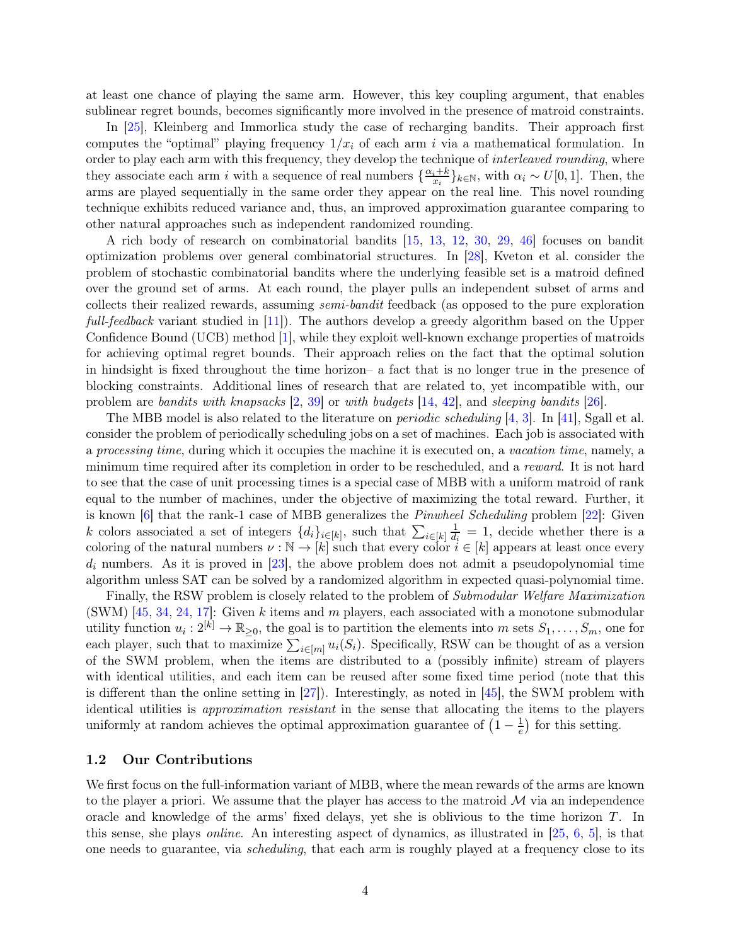at least one chance of playing the same arm. However, this key coupling argument, that enables sublinear regret bounds, becomes significantly more involved in the presence of matroid constraints.

In [\[25\]](#page-13-0), Kleinberg and Immorlica study the case of recharging bandits. Their approach first computes the "optimal" playing frequency  $1/x_i$  of each arm i via a mathematical formulation. In order to play each arm with this frequency, they develop the technique of *interleaved rounding*, where they associate each arm i with a sequence of real numbers  $\{\frac{\alpha_i+k}{x_i}$  $\{x_i^{i+k}\}_{k\in\mathbb{N}},$  with  $\alpha_i \sim U[0,1]$ . Then, the arms are played sequentially in the same order they appear on the real line. This novel rounding technique exhibits reduced variance and, thus, an improved approximation guarantee comparing to other natural approaches such as independent randomized rounding.

A rich body of research on combinatorial bandits [\[15,](#page-13-4) [13,](#page-13-3) [12,](#page-12-5) [30,](#page-14-8) [29,](#page-14-9) [46\]](#page-15-2) focuses on bandit optimization problems over general combinatorial structures. In [\[28\]](#page-14-4), Kveton et al. consider the problem of stochastic combinatorial bandits where the underlying feasible set is a matroid defined over the ground set of arms. At each round, the player pulls an independent subset of arms and collects their realized rewards, assuming semi-bandit feedback (as opposed to the pure exploration full-feedback variant studied in [\[11\]](#page-12-6)). The authors develop a greedy algorithm based on the Upper Confidence Bound (UCB) method [\[1\]](#page-12-7), while they exploit well-known exchange properties of matroids for achieving optimal regret bounds. Their approach relies on the fact that the optimal solution in hindsight is fixed throughout the time horizon– a fact that is no longer true in the presence of blocking constraints. Additional lines of research that are related to, yet incompatible with, our problem are bandits with knapsacks [\[2,](#page-12-8) [39\]](#page-14-10) or with budgets [\[14,](#page-13-5) [42\]](#page-14-11), and sleeping bandits [\[26\]](#page-13-6).

The MBB model is also related to the literature on *periodic scheduling* [\[4,](#page-12-9) [3\]](#page-12-10). In [\[41\]](#page-14-5), Sgall et al. consider the problem of periodically scheduling jobs on a set of machines. Each job is associated with a processing time, during which it occupies the machine it is executed on, a vacation time, namely, a minimum time required after its completion in order to be rescheduled, and a reward. It is not hard to see that the case of unit processing times is a special case of MBB with a uniform matroid of rank equal to the number of machines, under the objective of maximizing the total reward. Further, it is known  $[6]$  that the rank-1 case of MBB generalizes the *Pinwheel Scheduling* problem  $[22]$ : Given k colors associated a set of integers  $\{d_i\}_{i\in[k]}$ , such that  $\sum_{i\in[k]} \frac{1}{d_i}$  $\frac{1}{d_i} = 1$ , decide whether there is a coloring of the natural numbers  $\nu : \mathbb{N} \to [k]$  such that every color  $i \in [k]$  appears at least once every  $d_i$  numbers. As it is proved in [\[23\]](#page-13-8), the above problem does not admit a pseudopolynomial time algorithm unless SAT can be solved by a randomized algorithm in expected quasi-polynomial time.

Finally, the RSW problem is closely related to the problem of Submodular Welfare Maximization (SWM) [\[45,](#page-15-0) [34,](#page-14-12) [24,](#page-13-9) [17\]](#page-13-10): Given k items and m players, each associated with a monotone submodular utility function  $u_i: 2^{[k]} \to \mathbb{R}_{\geq 0}$ , the goal is to partition the elements into m sets  $S_1, \ldots, S_m$ , one for each player, such that to maximize  $\sum_{i\in[m]} u_i(S_i)$ . Specifically, RSW can be thought of as a version of the SWM problem, when the items are distributed to a (possibly infinite) stream of players with identical utilities, and each item can be reused after some fixed time period (note that this is different than the online setting in [\[27\]](#page-13-11)). Interestingly, as noted in [\[45\]](#page-15-0), the SWM problem with identical utilities is approximation resistant in the sense that allocating the items to the players uniformly at random achieves the optimal approximation guarantee of  $\left(1 - \frac{1}{e}\right)$  $\frac{1}{e}$  for this setting.

### 1.2 Our Contributions

We first focus on the full-information variant of MBB, where the mean rewards of the arms are known to the player a priori. We assume that the player has access to the matroid  $\mathcal M$  via an independence oracle and knowledge of the arms' fixed delays, yet she is oblivious to the time horizon  $T$ . In this sense, she plays online. An interesting aspect of dynamics, as illustrated in [\[25,](#page-13-0) [6,](#page-12-3) [5\]](#page-12-4), is that one needs to guarantee, via scheduling, that each arm is roughly played at a frequency close to its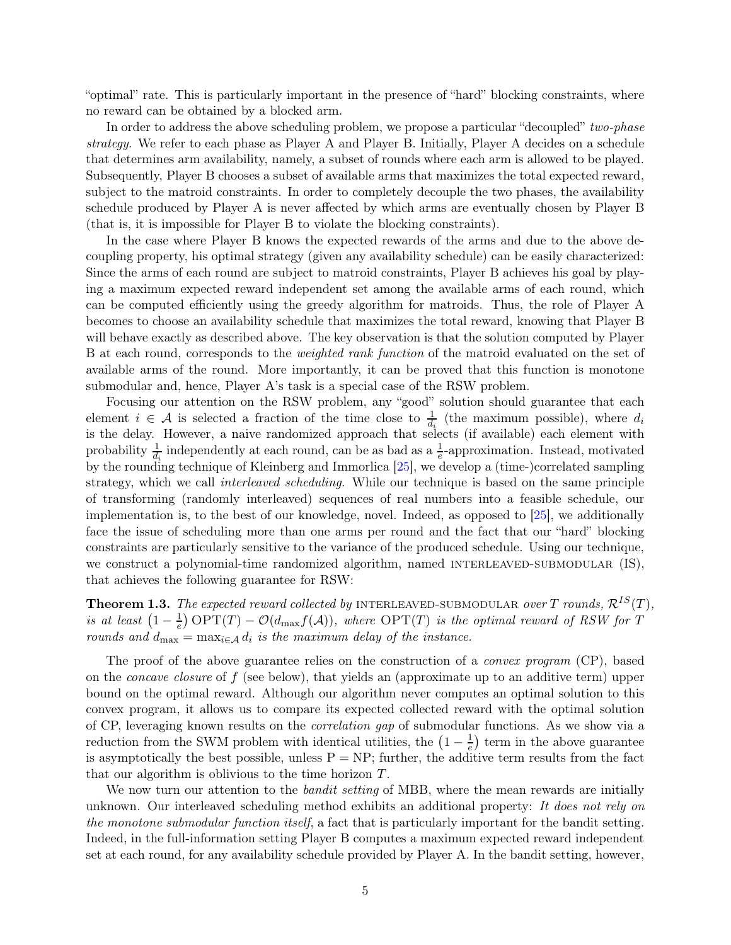"optimal" rate. This is particularly important in the presence of "hard" blocking constraints, where no reward can be obtained by a blocked arm.

In order to address the above scheduling problem, we propose a particular "decoupled" two-phase strategy. We refer to each phase as Player A and Player B. Initially, Player A decides on a schedule that determines arm availability, namely, a subset of rounds where each arm is allowed to be played. Subsequently, Player B chooses a subset of available arms that maximizes the total expected reward, subject to the matroid constraints. In order to completely decouple the two phases, the availability schedule produced by Player A is never affected by which arms are eventually chosen by Player B (that is, it is impossible for Player B to violate the blocking constraints).

In the case where Player B knows the expected rewards of the arms and due to the above decoupling property, his optimal strategy (given any availability schedule) can be easily characterized: Since the arms of each round are subject to matroid constraints, Player B achieves his goal by playing a maximum expected reward independent set among the available arms of each round, which can be computed efficiently using the greedy algorithm for matroids. Thus, the role of Player A becomes to choose an availability schedule that maximizes the total reward, knowing that Player B will behave exactly as described above. The key observation is that the solution computed by Player B at each round, corresponds to the weighted rank function of the matroid evaluated on the set of available arms of the round. More importantly, it can be proved that this function is monotone submodular and, hence, Player A's task is a special case of the RSW problem.

Focusing our attention on the RSW problem, any "good" solution should guarantee that each element  $i \in \mathcal{A}$  is selected a fraction of the time close to  $\frac{1}{d_i}$  (the maximum possible), where  $d_i$ is the delay. However, a naive randomized approach that selects (if available) each element with probability  $\frac{1}{d_i}$  independently at each round, can be as bad as a  $\frac{1}{e}$ -approximation. Instead, motivated by the rounding technique of Kleinberg and Immorlica [\[25\]](#page-13-0), we develop a (time-)correlated sampling strategy, which we call *interleaved scheduling*. While our technique is based on the same principle of transforming (randomly interleaved) sequences of real numbers into a feasible schedule, our implementation is, to the best of our knowledge, novel. Indeed, as opposed to [\[25\]](#page-13-0), we additionally face the issue of scheduling more than one arms per round and the fact that our "hard" blocking constraints are particularly sensitive to the variance of the produced schedule. Using our technique, we construct a polynomial-time randomized algorithm, named INTERLEAVED-SUBMODULAR (IS), that achieves the following guarantee for RSW:

<span id="page-4-0"></span>**Theorem 1.3.** The expected reward collected by INTERLEAVED-SUBMODULAR over T rounds,  $\mathcal{R}^{IS}(T)$ , is at least  $\left(1-\frac{1}{e}\right)$  $\frac{1}{e}$ ) OPT(T) –  $\mathcal{O}(d_{\text{max}}f(\mathcal{A}))$ , where OPT(T) is the optimal reward of RSW for T rounds and  $d_{\text{max}} = \max_{i \in \mathcal{A}} d_i$  is the maximum delay of the instance.

The proof of the above guarantee relies on the construction of a *convex program* (CP), based on the *concave closure* of  $f$  (see below), that yields an (approximate up to an additive term) upper bound on the optimal reward. Although our algorithm never computes an optimal solution to this convex program, it allows us to compare its expected collected reward with the optimal solution of CP, leveraging known results on the correlation gap of submodular functions. As we show via a reduction from the SWM problem with identical utilities, the  $\left(1 - \frac{1}{e}\right)$  $\frac{1}{e}$  term in the above guarantee is asymptotically the best possible, unless  $P = NP$ ; further, the additive term results from the fact that our algorithm is oblivious to the time horizon T.

We now turn our attention to the *bandit setting* of MBB, where the mean rewards are initially unknown. Our interleaved scheduling method exhibits an additional property: It does not rely on the monotone submodular function itself, a fact that is particularly important for the bandit setting. Indeed, in the full-information setting Player B computes a maximum expected reward independent set at each round, for any availability schedule provided by Player A. In the bandit setting, however,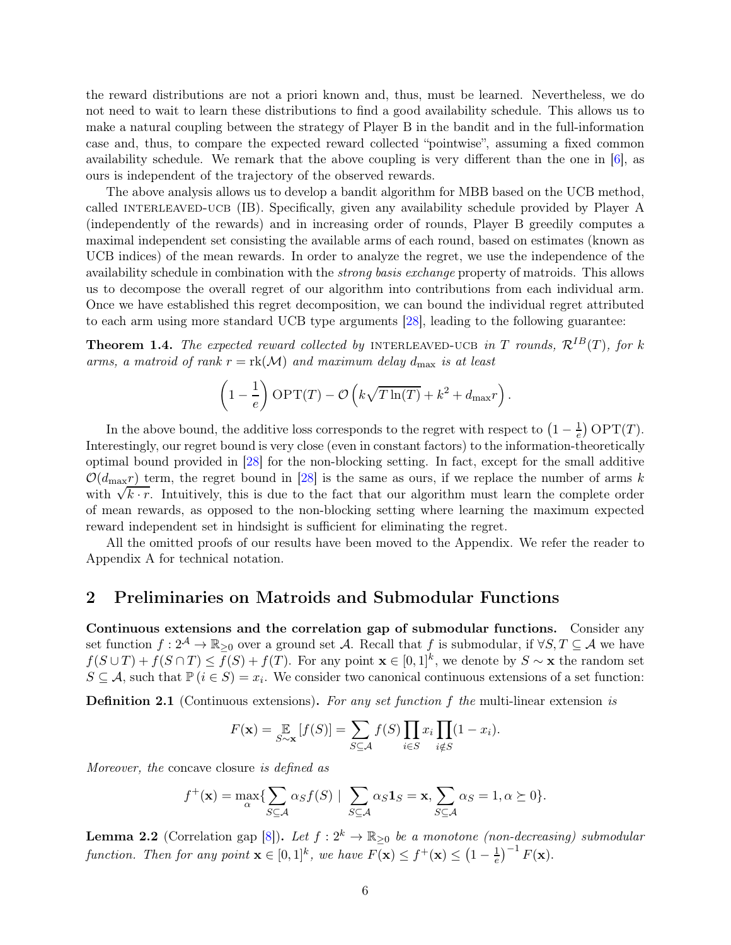the reward distributions are not a priori known and, thus, must be learned. Nevertheless, we do not need to wait to learn these distributions to find a good availability schedule. This allows us to make a natural coupling between the strategy of Player B in the bandit and in the full-information case and, thus, to compare the expected reward collected "pointwise", assuming a fixed common availability schedule. We remark that the above coupling is very different than the one in  $[6]$ , as ours is independent of the trajectory of the observed rewards.

The above analysis allows us to develop a bandit algorithm for MBB based on the UCB method, called INTERLEAVED-UCB (IB). Specifically, given any availability schedule provided by Player A (independently of the rewards) and in increasing order of rounds, Player B greedily computes a maximal independent set consisting the available arms of each round, based on estimates (known as UCB indices) of the mean rewards. In order to analyze the regret, we use the independence of the availability schedule in combination with the strong basis exchange property of matroids. This allows us to decompose the overall regret of our algorithm into contributions from each individual arm. Once we have established this regret decomposition, we can bound the individual regret attributed to each arm using more standard UCB type arguments [\[28\]](#page-14-4), leading to the following guarantee:

<span id="page-5-1"></span>**Theorem 1.4.** The expected reward collected by INTERLEAVED-UCB in T rounds,  $\mathcal{R}^{IB}(T)$ , for k arms, a matroid of rank  $r = \text{rk}(\mathcal{M})$  and maximum delay  $d_{\text{max}}$  is at least

$$
\left(1 - \frac{1}{e}\right) \text{OPT}(T) - \mathcal{O}\left(k\sqrt{T\ln(T)} + k^2 + d_{\text{max}}r\right).
$$

In the above bound, the additive loss corresponds to the regret with respect to  $\left(1 - \frac{1}{e}\right)$  $\frac{1}{e}$ ) OPT $(T)$ . Interestingly, our regret bound is very close (even in constant factors) to the information-theoretically optimal bound provided in [\[28\]](#page-14-4) for the non-blocking setting. In fact, except for the small additive  $\mathcal{O}(d_{\text{max}}r)$  term, the regret bound in [\[28\]](#page-14-4) is the same as ours, if we replace the number of arms k with  $\sqrt{k \cdot r}$ . Intuitively, this is due to the fact that our algorithm must learn the complete order of mean rewards, as opposed to the non-blocking setting where learning the maximum expected reward independent set in hindsight is sufficient for eliminating the regret.

All the omitted proofs of our results have been moved to the Appendix. We refer the reader to Appendix [A](#page-16-0) for technical notation.

# 2 Preliminaries on Matroids and Submodular Functions

Continuous extensions and the correlation gap of submodular functions. Consider any set function  $f: 2^{\mathcal{A}} \to \mathbb{R}_{\geq 0}$  over a ground set A. Recall that f is submodular, if  $\forall S, T \subseteq \mathcal{A}$  we have  $f(S \cup T) + f(S \cap T) \leq f(S) + f(T)$ . For any point  $\mathbf{x} \in [0,1]^k$ , we denote by  $S \sim \mathbf{x}$  the random set  $S \subseteq \mathcal{A}$ , such that  $\mathbb{P}(i \in S) = x_i$ . We consider two canonical continuous extensions of a set function:

**Definition 2.1** (Continuous extensions). For any set function f the multi-linear extension is

$$
F(\mathbf{x}) = \mathop{\mathbb{E}}_{S \sim \mathbf{x}} [f(S)] = \sum_{S \subseteq \mathcal{A}} f(S) \prod_{i \in S} x_i \prod_{i \notin S} (1 - x_i).
$$

Moreover, the concave closure is defined as

$$
f^{+}(\mathbf{x}) = \max_{\alpha} \{ \sum_{S \subseteq \mathcal{A}} \alpha_{S} f(S) \mid \sum_{S \subseteq \mathcal{A}} \alpha_{S} \mathbf{1}_{S} = \mathbf{x}, \sum_{S \subseteq \mathcal{A}} \alpha_{S} = 1, \alpha \succeq 0 \}.
$$

<span id="page-5-0"></span>**Lemma 2.2** (Correlation gap [\[8\]](#page-12-11)). Let  $f: 2^k \to \mathbb{R}_{\geq 0}$  be a monotone (non-decreasing) submodular function. Then for any point  $\mathbf{x} \in [0,1]^k$ , we have  $F(\mathbf{x}) \le f^+(\mathbf{x}) \le (1 - \frac{1}{e})$  $(\frac{1}{e})^{-1} F(\mathbf{x}).$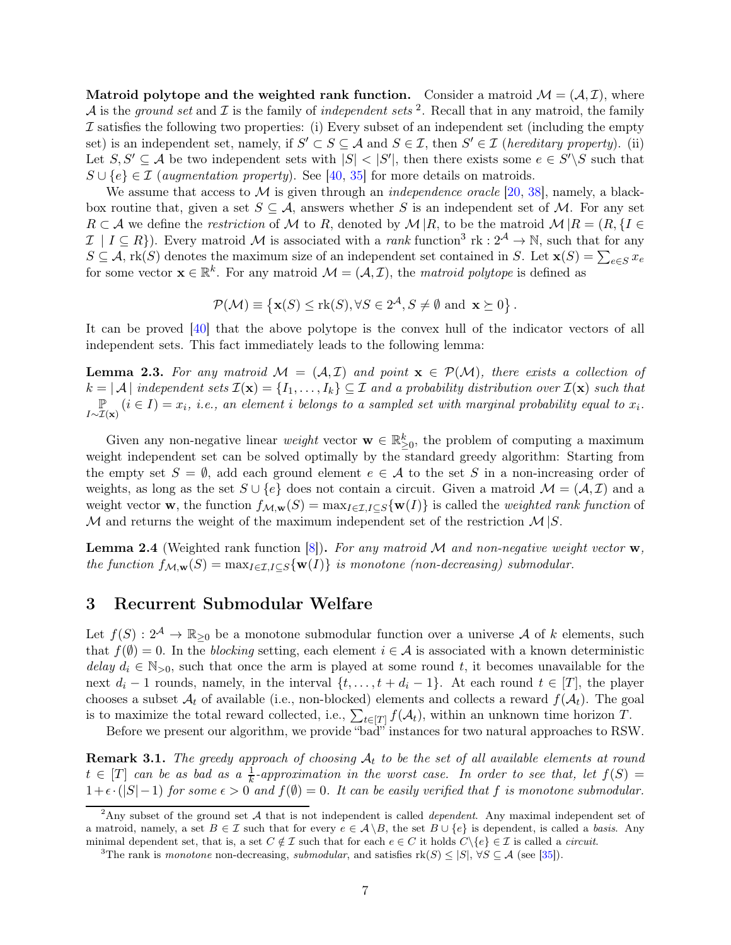Matroid polytope and the weighted rank function. Consider a matroid  $\mathcal{M} = (\mathcal{A}, \mathcal{I})$ , where A is the ground set and  $\mathcal I$  is the family of independent sets <sup>[2](#page-6-0)</sup>. Recall that in any matroid, the family  $\mathcal I$  satisfies the following two properties: (i) Every subset of an independent set (including the empty set) is an independent set, namely, if  $S' \subset S \subseteq A$  and  $S \in \mathcal{I}$ , then  $S' \in \mathcal{I}$  (hereditary property). (ii) Let  $S, S' \subseteq A$  be two independent sets with  $|S| < |S'|$ , then there exists some  $e \in S' \backslash S$  such that  $S \cup \{e\} \in \mathcal{I}$  (augmentation property). See [\[40,](#page-14-13) [35\]](#page-14-14) for more details on matroids.

We assume that access to M is given through an *independence oracle* [\[20,](#page-13-12) [38\]](#page-14-15), namely, a blackbox routine that, given a set  $S \subseteq A$ , answers whether S is an independent set of M. For any set  $R \subset A$  we define the restriction of M to R, denoted by  $\mathcal{M} | R$ , to be the matroid  $\mathcal{M} | R = (R, \{I \in A\})$  $\mathcal{I}$  |  $I \subseteq R$ }). Every matroid M is associated with a *rank* function<sup>[3](#page-6-1)</sup> rk :  $2^{\mathcal{A}} \to \mathbb{N}$ , such that for any  $S \subseteq A$ , rk(S) denotes the maximum size of an independent set contained in S. Let  $\mathbf{x}(S) = \sum_{e \in S} x_e$ for some vector  $\mathbf{x} \in \mathbb{R}^k$ . For any matroid  $\mathcal{M} = (\mathcal{A}, \mathcal{I})$ , the matroid polytope is defined as

$$
\mathcal{P}(\mathcal{M}) \equiv \left\{ \mathbf{x}(S) \leq \text{rk}(S), \forall S \in 2^{\mathcal{A}}, S \neq \emptyset \text{ and } \mathbf{x} \succeq 0 \right\}.
$$

It can be proved [\[40\]](#page-14-13) that the above polytope is the convex hull of the indicator vectors of all independent sets. This fact immediately leads to the following lemma:

<span id="page-6-3"></span>**Lemma 2.3.** For any matroid  $M = (A, \mathcal{I})$  and point  $\mathbf{x} \in \mathcal{P}(\mathcal{M})$ , there exists a collection of  $k = |\mathcal{A}|$  independent sets  $\mathcal{I}(\mathbf{x}) = \{I_1, \ldots, I_k\} \subseteq \mathcal{I}$  and a probability distribution over  $\mathcal{I}(\mathbf{x})$  s  $k = |\mathcal{A}|$  independent sets  $\mathcal{I}(\mathbf{x}) = \{I_1, \ldots, I_k\} \subseteq \mathcal{I}$  and a probability distribution over  $\mathcal{I}(\mathbf{x})$  such that  $\mathbb{P}$   $(i \in I) = x_i$ , i.e., an element i belongs to a sampled set with marginal probability equal  $\mathbb{P}_{I \sim \mathcal{I}(\mathbf{x})}(i \in I) = x_i$ , i.e., an element i belongs to a sampled set with marginal probability equal to  $x_i$ .

Given any non-negative linear *weight* vector  $\mathbf{w} \in \mathbb{R}_{\geq 0}^k$ , the problem of computing a maximum weight independent set can be solved optimally by the standard greedy algorithm: Starting from the empty set  $S = \emptyset$ , add each ground element  $e \in \mathcal{A}$  to the set S in a non-increasing order of weights, as long as the set  $S \cup \{e\}$  does not contain a circuit. Given a matroid  $\mathcal{M} = (\mathcal{A}, \mathcal{I})$  and a weight vector **w**, the function  $f_{\mathcal{M},\mathbf{w}}(S) = \max_{I \in \mathcal{I}, I \subset S} \{ \mathbf{w}(I) \}$  is called the *weighted rank function* of M and returns the weight of the maximum independent set of the restriction  $\mathcal{M}|S$ .

<span id="page-6-2"></span>**Lemma 2.4** (Weighted rank function  $[8]$ ). For any matroid M and non-negative weight vector w, the function  $f_{\mathcal{M},\mathbf{w}}(S) = \max_{I \in \mathcal{I}, I \subset S} \{ \mathbf{w}(I) \}$  is monotone (non-decreasing) submodular.

# 3 Recurrent Submodular Welfare

Let  $f(S)$ :  $2^{\mathcal{A}} \to \mathbb{R}_{\geq 0}$  be a monotone submodular function over a universe  $\mathcal A$  of k elements, such that  $f(\emptyset) = 0$ . In the blocking setting, each element  $i \in \mathcal{A}$  is associated with a known deterministic delay  $d_i \in \mathbb{N}_{>0}$ , such that once the arm is played at some round t, it becomes unavailable for the next  $d_i - 1$  rounds, namely, in the interval  $\{t, \ldots, t + d_i - 1\}$ . At each round  $t \in [T]$ , the player chooses a subset  $A_t$  of available (i.e., non-blocked) elements and collects a reward  $f(A_t)$ . The goal is to maximize the total reward collected, i.e.,  $\sum_{t\in[T]} f(\mathcal{A}_t)$ , within an unknown time horizon T.

Before we present our algorithm, we provide "bad" instances for two natural approaches to RSW.

**Remark 3.1.** The greedy approach of choosing  $A_t$  to be the set of all available elements at round  $t \in [T]$  can be as bad as a  $\frac{1}{k}$ -approximation in the worst case. In order to see that, let  $f(S) =$  $1+\epsilon \cdot (|S|-1)$  for some  $\epsilon > 0$  and  $f(\emptyset) = 0$ . It can be easily verified that f is monotone submodular.

<span id="page-6-0"></span><sup>&</sup>lt;sup>2</sup>Any subset of the ground set A that is not independent is called *dependent*. Any maximal independent set of a matroid, namely, a set  $B \in \mathcal{I}$  such that for every  $e \in \mathcal{A} \backslash B$ , the set  $B \cup \{e\}$  is dependent, is called a basis. Any minimal dependent set, that is, a set  $C \notin \mathcal{I}$  such that for each  $e \in C$  it holds  $C \setminus \{e\} \in \mathcal{I}$  is called a *circuit.* 

<span id="page-6-1"></span><sup>&</sup>lt;sup>3</sup>The rank is monotone non-decreasing, submodular, and satisfies  $rk(S) \leq |S|$ ,  $\forall S \subseteq \mathcal{A}$  (see [\[35\]](#page-14-14)).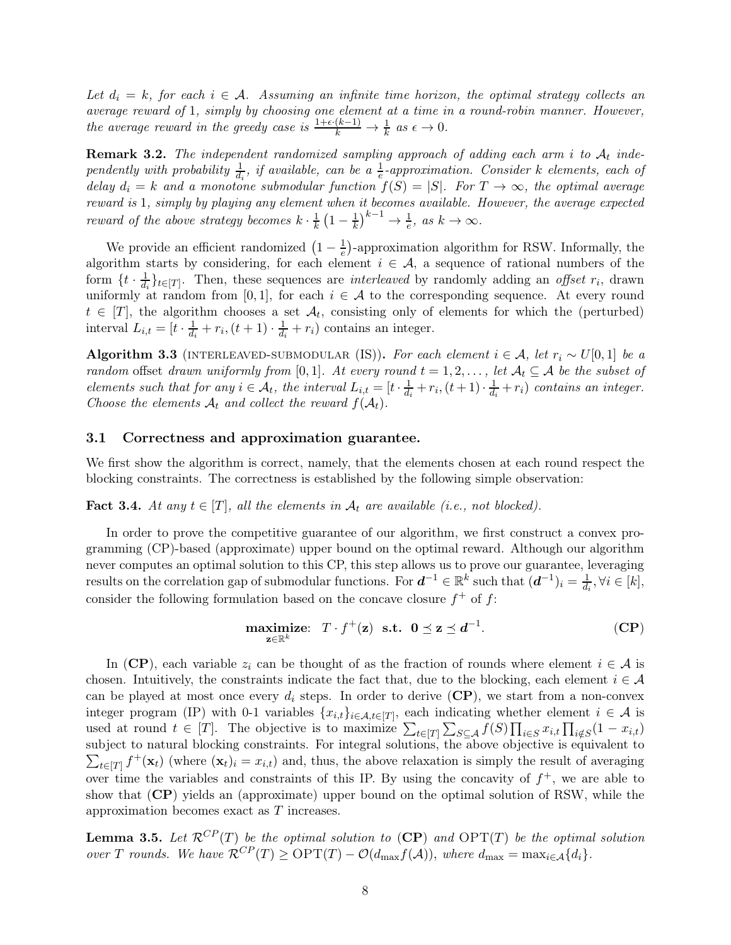Let  $d_i = k$ , for each  $i \in \mathcal{A}$ . Assuming an infinite time horizon, the optimal strategy collects an average reward of 1, simply by choosing one element at a time in a round-robin manner. However, the average reward in the greedy case is  $\frac{1+\epsilon(k-1)}{k} \to \frac{1}{k}$  as  $\epsilon \to 0$ .

**Remark 3.2.** The independent randomized sampling approach of adding each arm i to  $A_t$  independently with probability  $\frac{1}{d_i}$ , if available, can be a  $\frac{1}{e}$ -approximation. Consider k elements, each of delay  $d_i = k$  and a monotone submodular function  $f(S) = |S|$ . For  $T \to \infty$ , the optimal average reward is 1, simply by playing any element when it becomes available. However, the average expected reward of the above strategy becomes  $k \cdot \frac{1}{k}$  $\frac{1}{k}\left(1-\frac{1}{k}\right)$  $\frac{1}{k}$  $\Big)^{k-1} \to \frac{1}{e}, \text{ as } k \to \infty.$ 

We provide an efficient randomized  $\left(1 - \frac{1}{e}\right)$  $\frac{1}{e}$ )-approximation algorithm for RSW. Informally, the algorithm starts by considering, for each element  $i \in \mathcal{A}$ , a sequence of rational numbers of the form  $\{t \cdot \frac{1}{d_t}\}$  $\frac{1}{d_i}\}_{t\in[T]}$ . Then, these sequences are *interleaved* by randomly adding an *offset* r<sub>i</sub>, drawn uniformly at random from [0, 1], for each  $i \in \mathcal{A}$  to the corresponding sequence. At every round  $t \in [T]$ , the algorithm chooses a set  $\mathcal{A}_t$ , consisting only of elements for which the (perturbed) interval  $L_{i,t} = [t \cdot \frac{1}{d_i}]$  $\frac{1}{d_i}+r_i, (t+1)\cdot \frac{1}{d_i}$  $\frac{1}{d_i} + r_i$ ) contains an integer.

Algorithm 3.3 (INTERLEAVED-SUBMODULAR (IS)). For each element  $i \in \mathcal{A}$ , let  $r_i \sim U[0, 1]$  be a random offset drawn uniformly from [0,1]. At every round  $t = 1, 2, \ldots$ , let  $\mathcal{A}_t \subseteq \mathcal{A}$  be the subset of elements such that for any  $i \in \mathcal{A}_t$ , the interval  $L_{i,t} = [t \cdot \frac{1}{d_i}]$  $\frac{1}{d_i} + r_i, (t+1) \cdot \frac{1}{d_i}$  $\frac{1}{d_i} + r_i$ ) contains an integer. Choose the elements  $A_t$  and collect the reward  $f(A_t)$ .

### 3.1 Correctness and approximation guarantee.

We first show the algorithm is correct, namely, that the elements chosen at each round respect the blocking constraints. The correctness is established by the following simple observation:

<span id="page-7-2"></span>**Fact 3.4.** At any  $t \in [T]$ , all the elements in  $A_t$  are available (i.e., not blocked).

In order to prove the competitive guarantee of our algorithm, we first construct a convex programming (CP)-based (approximate) upper bound on the optimal reward. Although our algorithm never computes an optimal solution to this CP, this step allows us to prove our guarantee, leveraging results on the correlation gap of submodular functions. For  $d^{-1} \in \mathbb{R}^k$  such that  $(d^{-1})_i = \frac{1}{d_i}, \forall i \in [k]$ , consider the following formulation based on the concave closure  $f^+$  of  $f$ :

<span id="page-7-0"></span>
$$
\underset{\mathbf{z}\in\mathbb{R}^k}{\text{maximize:}} \quad T \cdot f^+(\mathbf{z}) \quad \text{s.t.} \quad \mathbf{0} \preceq \mathbf{z} \preceq d^{-1}.\tag{CP}
$$

In ([CP](#page-7-0)), each variable  $z_i$  can be thought of as the fraction of rounds where element  $i \in \mathcal{A}$  is chosen. Intuitively, the constraints indicate the fact that, due to the blocking, each element  $i \in \mathcal{A}$ can be played at most once every  $d_i$  steps. In order to derive  $(CP)$  $(CP)$  $(CP)$ , we start from a non-convex integer program (IP) with 0-1 variables  $\{x_{i,t}\}_{i\in\mathcal{A},t\in[T]}$ , each indicating whether element  $i\in\mathcal{A}$  is used at round  $t \in [T]$ . The objective is to maximize  $\sum_{t \in [T]} \sum_{S \subseteq A} f(S) \prod_{i \in S} x_{i,t} \prod_{i \notin S} (1 - x_{i,t})$ subject to natural blocking constraints. For integral solutions, the above objective is equivalent to  $\sum_{t\in[T]} f^+(\mathbf{x}_t)$  (where  $(\mathbf{x}_t)_i = x_{i,t}$ ) and, thus, the above relaxation is simply the result of averaging over time the variables and constraints of this IP. By using the concavity of  $f^+$ , we are able to show that ([CP](#page-7-0)) yields an (approximate) upper bound on the optimal solution of RSW, while the approximation becomes exact as T increases.

<span id="page-7-1"></span>**Lemma 3.5.** Let  $\mathcal{R}^{CP}(T)$  $\mathcal{R}^{CP}(T)$  $\mathcal{R}^{CP}(T)$  be the optimal solution to  $(CP)$  and  $\text{OPT}(T)$  be the optimal solution over T rounds. We have  $\mathcal{R}^{CP}(T) \geq \text{OPT}(T) - \mathcal{O}(d_{\text{max}}f(\mathcal{A}))$ , where  $d_{\text{max}} = \max_{i \in \mathcal{A}} \{d_i\}.$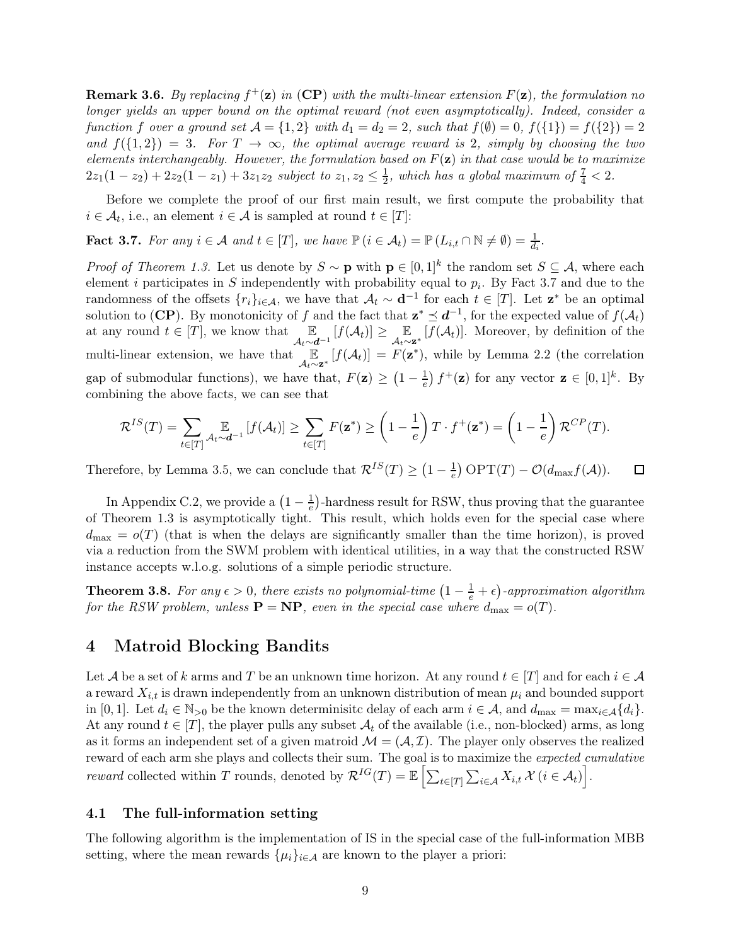**Remark 3.6.** By replacing  $f^+(\mathbf{z})$  in ([CP](#page-7-0)) with the multi-linear extension  $F(\mathbf{z})$ , the formulation no longer yields an upper bound on the optimal reward (not even asymptotically). Indeed, consider a function f over a ground set  $A = \{1, 2\}$  with  $d_1 = d_2 = 2$ , such that  $f(\emptyset) = 0$ ,  $f(\{1\}) = f(\{2\}) = 2$ and  $f(\{1,2\}) = 3$ . For  $T \to \infty$ , the optimal average reward is 2, simply by choosing the two elements interchangeably. However, the formulation based on  $F(\mathbf{z})$  in that case would be to maximize  $2z_1(1-z_2)+2z_2(1-z_1)+3z_1z_2$  subject to  $z_1, z_2 \leq \frac{1}{2}$  $\frac{1}{2}$ , which has a global maximum of  $\frac{7}{4} < 2$ .

Before we complete the proof of our first main result, we first compute the probability that  $i \in \mathcal{A}_t$ , i.e., an element  $i \in \mathcal{A}$  is sampled at round  $t \in [T]$ :

<span id="page-8-0"></span>**Fact 3.7.** For any  $i \in \mathcal{A}$  and  $t \in [T]$ , we have  $\mathbb{P}\left(i \in \mathcal{A}_t\right) = \mathbb{P}\left(L_{i,t} \cap \mathbb{N} \neq \emptyset\right) = \frac{1}{d_i}$ .

*Proof of Theorem [1.3.](#page-4-0)* Let us denote by  $S \sim \mathbf{p}$  with  $\mathbf{p} \in [0,1]^k$  the random set  $S \subseteq \mathcal{A}$ , where each element *i* participates in S independently with probability equal to  $p_i$ . By Fact [3.7](#page-8-0) and due to the randomness of the offsets  $\{r_i\}_{i\in\mathcal{A}}$ , we have that  $\mathcal{A}_t \sim \mathbf{d}^{-1}$  for each  $t \in [T]$ . Let  $\mathbf{z}^*$  be an optimal solution to (**[CP](#page-7-0)**). By monotonicity of f and the fact that  $z^* \preceq d^{-1}$ , for the expected value of  $f(\mathcal{A}_t)$ at any round  $t \in [T]$ , we know that  $\mathbb{E}_{\mathcal{A}_t \sim d^{-1}}[f(\mathcal{A}_t)] \geq \mathbb{E}_{\mathcal{A}_t \sim \mathbf{z}^*}[f(\mathcal{A}_t)]$ . Moreover, by definition of the multi-linear extension, we have that  $\mathbb{E}_{\mathcal{A}_t \sim \mathbf{z}^*}[f(\mathcal{A}_t)] = F(\mathbf{z}^*)$ , while by Lemma [2.2](#page-5-0) (the correlation gap of submodular functions), we have that,  $F(\mathbf{z}) \geq (1 - \frac{1}{e})$  $\frac{1}{e}$   $f^+(z)$  for any vector  $z \in [0,1]^k$ . By combining the above facts, we can see that

$$
\mathcal{R}^{IS}(T) = \sum_{t \in [T]} \underset{\mathcal{A}_t \sim \mathbf{d}^{-1}}{\mathbb{E}} \left[ f(\mathcal{A}_t) \right] \ge \sum_{t \in [T]} F(\mathbf{z}^*) \ge \left( 1 - \frac{1}{e} \right) T \cdot f^+(\mathbf{z}^*) = \left( 1 - \frac{1}{e} \right) \mathcal{R}^{CP}(T).
$$

 $\frac{1}{e}$ ) OPT(T) –  $\mathcal{O}(d_{\max}f(\mathcal{A}))$ . Therefore, by Lemma [3.5,](#page-7-1) we can conclude that  $\mathcal{R}^{IS}(T) \geq \left(1 - \frac{1}{e}\right)$  $\Box$ 

In Appendix [C.2,](#page-18-0) we provide a  $\left(1 - \frac{1}{e}\right)$  $\frac{1}{e}$ )-hardness result for RSW, thus proving that the guarantee of Theorem [1.3](#page-4-0) is asymptotically tight. This result, which holds even for the special case where  $d_{\text{max}} = o(T)$  (that is when the delays are significantly smaller than the time horizon), is proved via a reduction from the SWM problem with identical utilities, in a way that the constructed RSW instance accepts w.l.o.g. solutions of a simple periodic structure.

<span id="page-8-1"></span>**Theorem 3.8.** For any  $\epsilon > 0$ , there exists no polynomial-time  $\left(1 - \frac{1}{e} + \epsilon\right)$ -approximation algorithm for the RSW problem, unless  $\mathbf{P} = \mathbf{NP}$ , even in the special case where  $d_{\text{max}} = o(T)$ .

# 4 Matroid Blocking Bandits

Let A be a set of k arms and T be an unknown time horizon. At any round  $t \in [T]$  and for each  $i \in \mathcal{A}$ a reward  $X_{i,t}$  is drawn independently from an unknown distribution of mean  $\mu_i$  and bounded support in [0, 1]. Let  $d_i \in \mathbb{N}_{>0}$  be the known determinisite delay of each arm  $i \in \mathcal{A}$ , and  $d_{\max} = \max_{i \in \mathcal{A}} \{d_i\}.$ At any round  $t \in [T]$ , the player pulls any subset  $A_t$  of the available (i.e., non-blocked) arms, as long as it forms an independent set of a given matroid  $\mathcal{M} = (\mathcal{A}, \mathcal{I})$ . The player only observes the realized reward of each arm she plays and collects their sum. The goal is to maximize the *expected cumulative* reward collected within T rounds, denoted by  $\mathcal{R}^{IG}(T) = \mathbb{E}\left[\sum_{t \in [T]} \sum_{i \in \mathcal{A}} X_{i,t} \mathcal{X}(i \in \mathcal{A}_t)\right]$ .

### 4.1 The full-information setting

The following algorithm is the implementation of IS in the special case of the full-information MBB setting, where the mean rewards  $\{\mu_i\}_{i\in\mathcal{A}}$  are known to the player a priori: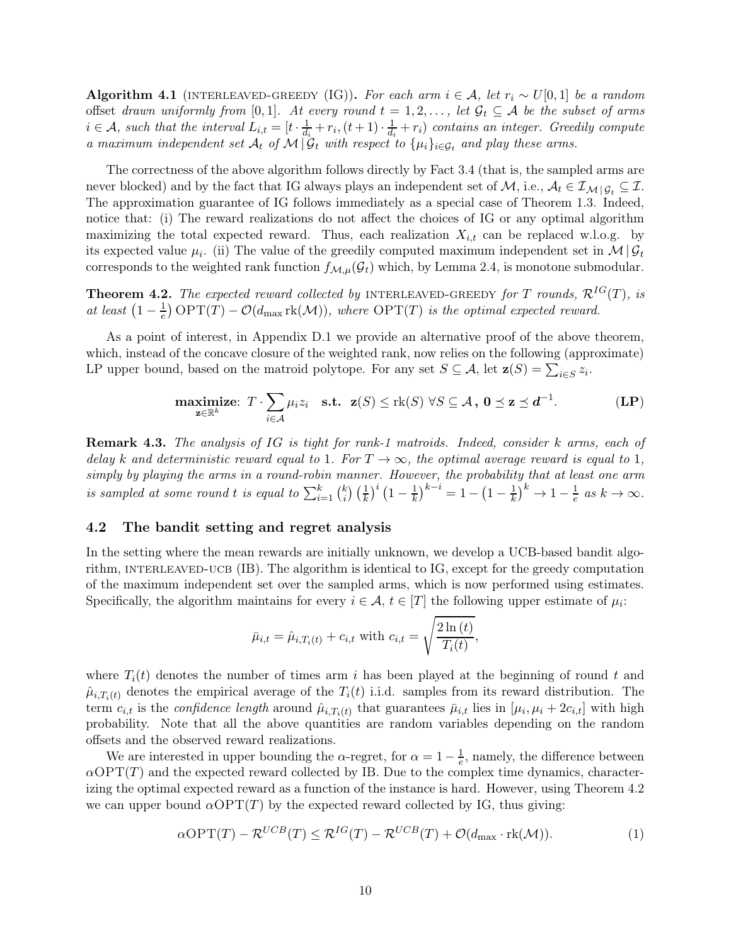Algorithm 4.1 (INTERLEAVED-GREEDY (IG)). For each arm  $i \in \mathcal{A}$ , let  $r_i \sim U[0,1]$  be a random offset drawn uniformly from [0,1]. At every round  $t = 1, 2, \ldots$ , let  $\mathcal{G}_t \subseteq \mathcal{A}$  be the subset of arms  $i \in \mathcal{A}$ , such that the interval  $L_{i,t} = [t \cdot \frac{1}{d_i}]$  $\frac{1}{d_i} + r_i, (t+1) \cdot \frac{1}{d_i}$  $\frac{1}{d_i} + r_i$ ) contains an integer. Greedily compute a maximum independent set  $\mathcal{A}_t$  of  $\mathcal{M} | \mathcal{G}_t$  with respect to  $\{\mu_i\}_{i \in \mathcal{G}_t}$  and play these arms.

The correctness of the above algorithm follows directly by Fact [3.4](#page-7-2) (that is, the sampled arms are never blocked) and by the fact that IG always plays an independent set of M, i.e.,  $A_t \in \mathcal{I}_{M \mid G_t} \subseteq \mathcal{I}$ . The approximation guarantee of IG follows immediately as a special case of Theorem [1.3.](#page-4-0) Indeed, notice that: (i) The reward realizations do not affect the choices of IG or any optimal algorithm maximizing the total expected reward. Thus, each realization  $X_{i,t}$  can be replaced w.l.o.g. by its expected value  $\mu_i$ . (ii) The value of the greedily computed maximum independent set in  $\mathcal{M} | \mathcal{G}_t$ corresponds to the weighted rank function  $f_{\mathcal{M},\mu}(\mathcal{G}_t)$  which, by Lemma [2.4,](#page-6-2) is monotone submodular.

<span id="page-9-0"></span>**Theorem 4.2.** The expected reward collected by INTERLEAVED-GREEDY for T rounds,  $\mathcal{R}^{IG}(T)$ , is at least  $\left(1-\frac{1}{e}\right)$  $\frac{1}{e}$ ) OPT(T) –  $\mathcal{O}(d_{\text{max}} \text{rk}(\mathcal{M}))$ , where OPT(T) is the optimal expected reward.

As a point of interest, in Appendix [D.1](#page-20-0) we provide an alternative proof of the above theorem, which, instead of the concave closure of the weighted rank, now relies on the following (approximate) LP upper bound, based on the matroid polytope. For any set  $S \subseteq A$ , let  $\mathbf{z}(S) = \sum_{i \in S} z_i$ .

$$
\underset{\mathbf{z}\in\mathbb{R}^k}{\text{maximize: }} T \cdot \sum_{i\in\mathcal{A}} \mu_i z_i \quad \text{s.t.} \quad \mathbf{z}(S) \leq \text{rk}(S) \ \forall S\subseteq\mathcal{A} \text{ , } \mathbf{0}\preceq \mathbf{z}\preceq \mathbf{d}^{-1}. \tag{LP}
$$

**Remark 4.3.** The analysis of IG is tight for rank-1 matroids. Indeed, consider k arms, each of delay k and deterministic reward equal to 1. For  $T \to \infty$ , the optimal average reward is equal to 1, simply by playing the arms in a round-robin manner. However, the probability that at least one arm is sampled at some round t is equal to  $\sum_{i=1}^{k} {k \choose i}$  $\binom{k}{i}\left(\frac{1}{k}\right)^i\left(1-\frac{1}{k}\right)$  $\frac{1}{k}$ <sup>k-i</sup> = 1 – (1 –  $\frac{1}{k}$  $\frac{1}{k}$  $\big)^k \rightarrow 1 - \frac{1}{e}$  $\frac{1}{e}$  as  $k \to \infty$ .

### 4.2 The bandit setting and regret analysis

In the setting where the mean rewards are initially unknown, we develop a UCB-based bandit algorithm, INTERLEAVED-UCB (IB). The algorithm is identical to IG, except for the greedy computation of the maximum independent set over the sampled arms, which is now performed using estimates. Specifically, the algorithm maintains for every  $i \in \mathcal{A}$ ,  $t \in [T]$  the following upper estimate of  $\mu_i$ :

<span id="page-9-1"></span>
$$
\bar{\mu}_{i,t} = \hat{\mu}_{i,T_i(t)} + c_{i,t}
$$
 with  $c_{i,t} = \sqrt{\frac{2 \ln(t)}{T_i(t)}},$ 

where  $T_i(t)$  denotes the number of times arm i has been played at the beginning of round t and  $\hat{\mu}_{i,T_i(t)}$  denotes the empirical average of the  $T_i(t)$  i.i.d. samples from its reward distribution. The term  $c_{i,t}$  is the *confidence length* around  $\hat{\mu}_{i,T_i(t)}$  that guarantees  $\bar{\mu}_{i,t}$  lies in  $[\mu_i, \mu_i + 2c_{i,t}]$  with high probability. Note that all the above quantities are random variables depending on the random offsets and the observed reward realizations.

We are interested in upper bounding the  $\alpha$ -regret, for  $\alpha = 1 - \frac{1}{e}$  $\frac{1}{e}$ , namely, the difference between  $\alpha$ OPT(T) and the expected reward collected by IB. Due to the complex time dynamics, characterizing the optimal expected reward as a function of the instance is hard. However, using Theorem [4.2](#page-9-0) we can upper bound  $\alpha$ OPT(T) by the expected reward collected by IG, thus giving:

$$
\alpha \text{OPT}(T) - \mathcal{R}^{UCB}(T) \le \mathcal{R}^{IG}(T) - \mathcal{R}^{UCB}(T) + \mathcal{O}(d_{\text{max}} \cdot \text{rk}(\mathcal{M})).\tag{1}
$$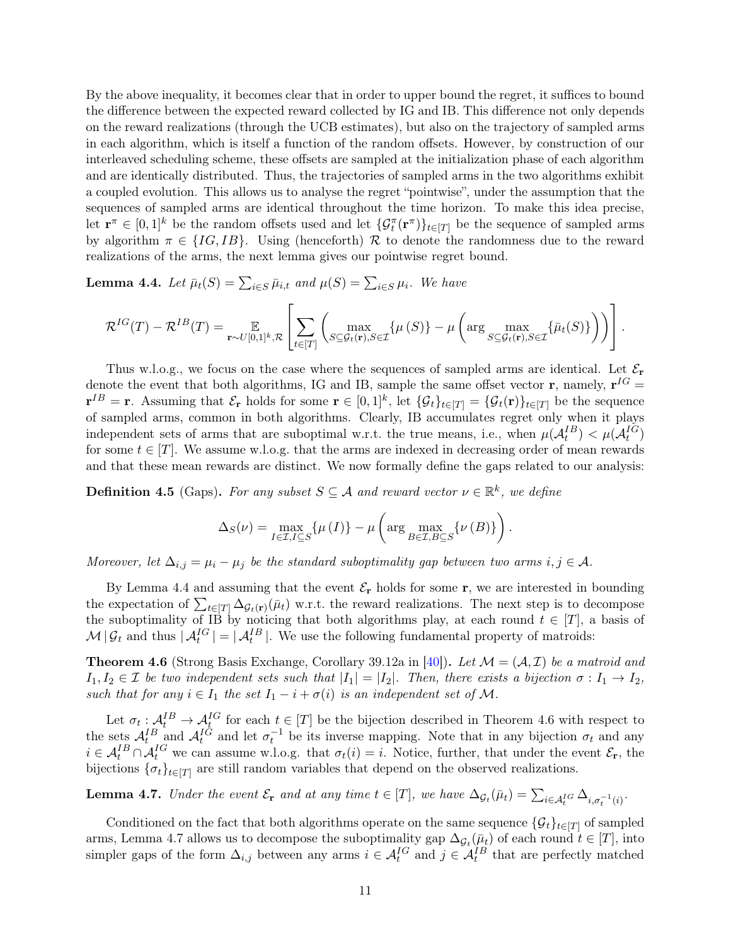By the above inequality, it becomes clear that in order to upper bound the regret, it suffices to bound the difference between the expected reward collected by IG and IB. This difference not only depends on the reward realizations (through the UCB estimates), but also on the trajectory of sampled arms in each algorithm, which is itself a function of the random offsets. However, by construction of our interleaved scheduling scheme, these offsets are sampled at the initialization phase of each algorithm and are identically distributed. Thus, the trajectories of sampled arms in the two algorithms exhibit a coupled evolution. This allows us to analyse the regret "pointwise", under the assumption that the sequences of sampled arms are identical throughout the time horizon. To make this idea precise, let  $\mathbf{r}^{\pi} \in [0,1]^k$  be the random offsets used and let  $\{\mathcal{G}_t^{\pi}(\mathbf{r}^{\pi})\}_{t \in [T]}$  be the sequence of sampled arms by algorithm  $\pi \in \{IG, IB\}$ . Using (henceforth) R to denote the randomness due to the reward realizations of the arms, the next lemma gives our pointwise regret bound.

<span id="page-10-0"></span>**Lemma 4.4.** Let  $\bar{\mu}_t(S) = \sum_{i \in S} \bar{\mu}_{i,t}$  and  $\mu(S) = \sum_{i \in S} \mu_i$ . We have

$$
\mathcal{R}^{IG}(T) - \mathcal{R}^{IB}(T) = \mathop{\mathbb{E}}_{\mathbf{r} \sim U[0,1]^k, \mathcal{R}} \left[ \sum_{t \in [T]} \left( \max_{S \subseteq \mathcal{G}_t(\mathbf{r}), S \in \mathcal{I}} \{ \mu(S) \} - \mu \left( \arg \max_{S \subseteq \mathcal{G}_t(\mathbf{r}), S \in \mathcal{I}} \{ \bar{\mu}_t(S) \} \right) \right) \right].
$$

Thus w.l.o.g., we focus on the case where the sequences of sampled arms are identical. Let  $\mathcal{E}_{r}$ denote the event that both algorithms, IG and IB, sample the same offset vector **r**, namely,  $\mathbf{r}^{IG} =$  $\mathbf{r}^{IB} = \mathbf{r}$ . Assuming that  $\mathcal{E}_{\mathbf{r}}$  holds for some  $\mathbf{r} \in [0,1]^k$ , let  $\{\mathcal{G}_t\}_{t \in [T]} = \{\mathcal{G}_t(\mathbf{r})\}_{t \in [T]}$  be the sequence of sampled arms, common in both algorithms. Clearly, IB accumulates regret only when it plays independent sets of arms that are suboptimal w.r.t. the true means, i.e., when  $\mu(A_t^{IB}) < \mu(A_t^{IG})$ for some  $t \in [T]$ . We assume w.l.o.g. that the arms are indexed in decreasing order of mean rewards and that these mean rewards are distinct. We now formally define the gaps related to our analysis:

<span id="page-10-3"></span>**Definition 4.5** (Gaps). For any subset  $S \subseteq A$  and reward vector  $\nu \in \mathbb{R}^k$ , we define

$$
\Delta_S(\nu) = \max_{I \in \mathcal{I}, I \subseteq S} \{ \mu(I) \} - \mu \left( \arg \max_{B \in \mathcal{I}, B \subseteq S} \{ \nu(B) \} \right).
$$

Moreover, let  $\Delta_{i,j} = \mu_i - \mu_j$  be the standard suboptimality gap between two arms  $i, j \in \mathcal{A}$ .

By Lemma [4.4](#page-10-0) and assuming that the event  $\mathcal{E}_{\mathbf{r}}$  holds for some  $\mathbf{r}$ , we are interested in bounding the expectation of  $\sum_{t\in[T]} \Delta_{\mathcal{G}_t(\mathbf{r})}(\bar{\mu}_t)$  w.r.t. the reward realizations. The next step is to decompose the suboptimality of IB by noticing that both algorithms play, at each round  $t \in [T]$ , a basis of  $\mathcal{M}|\mathcal{G}_t$  and thus  $|\mathcal{A}_t^{IG}| = |\mathcal{A}_t^{IB}|$ . We use the following fundamental property of matroids:

<span id="page-10-1"></span>**Theorem 4.6** (Strong Basis Exchange, Corollary 39.12a in [\[40\]](#page-14-13)). Let  $\mathcal{M} = (\mathcal{A}, \mathcal{I})$  be a matroid and  $I_1, I_2 \in \mathcal{I}$  be two independent sets such that  $|I_1| = |I_2|$ . Then, there exists a bijection  $\sigma : I_1 \to I_2$ , such that for any  $i \in I_1$  the set  $I_1 - i + \sigma(i)$  is an independent set of M.

Let  $\sigma_t: \mathcal{A}_t^{IB} \to \mathcal{A}_t^{IG}$  for each  $t \in [T]$  be the bijection described in Theorem [4.6](#page-10-1) with respect to the sets  $\mathcal{A}_t^{IB}$  and  $\mathcal{A}_t^{IG}$  and let  $\sigma_t^{-1}$  be its inverse mapping. Note that in any bijection  $\sigma_t$  and any  $i \in \mathcal{A}_t^{IB} \cap \mathcal{A}_t^{IG}$  we can assume w.l.o.g. that  $\sigma_t(i) = i$ . Notice, further, that under the event  $\mathcal{E}_{\mathbf{r}}$ , the bijections  $\{\sigma_t\}_{t\in[T]}$  are still random variables that depend on the observed realizations.

<span id="page-10-2"></span>**Lemma 4.7.** Under the event  $\mathcal{E}_{\mathbf{r}}$  and at any time  $t \in [T]$ , we have  $\Delta_{\mathcal{G}_t}(\bar{\mu}_t) = \sum_{i \in \mathcal{A}_t^{IG}} \Delta_{i, \sigma_t^{-1}(i)}$ .

Conditioned on the fact that both algorithms operate on the same sequence  $\{\mathcal{G}_t\}_{t\in[T]}$  of sampled arms, Lemma [4.7](#page-10-2) allows us to decompose the suboptimality gap  $\Delta_{\mathcal{G}_t}(\bar{\mu}_t)$  of each round  $t \in [T]$ , into simpler gaps of the form  $\Delta_{i,j}$  between any arms  $i \in \mathcal{A}_t^{IG}$  and  $j \in \mathcal{A}_t^{IB}$  that are perfectly matched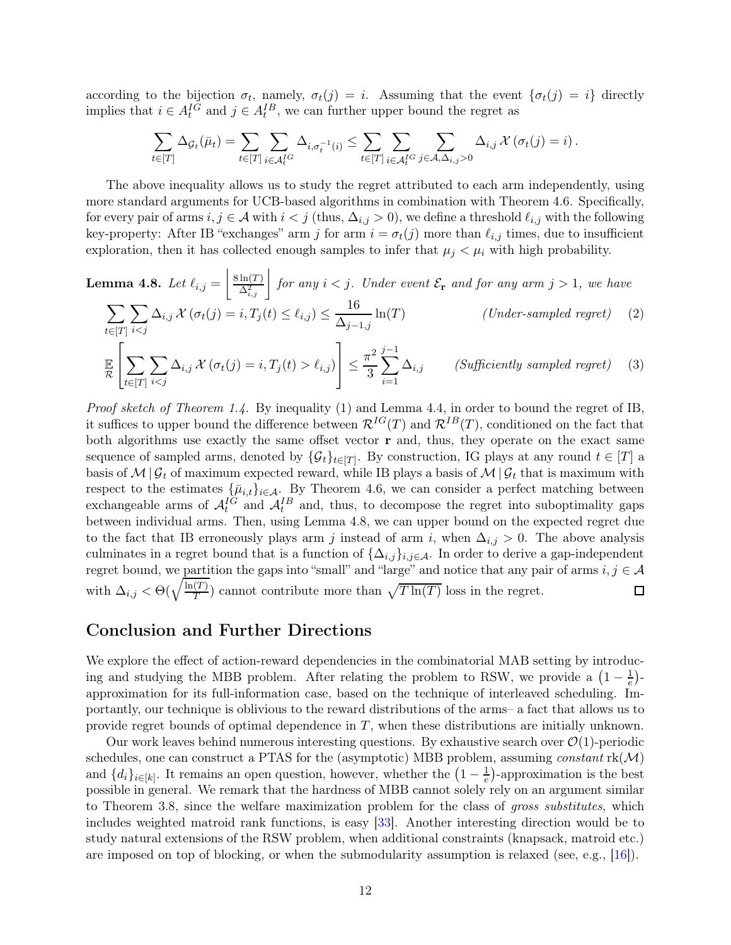according to the bijection  $\sigma_t$ , namely,  $\sigma_t(j) = i$ . Assuming that the event  $\{\sigma_t(j) = i\}$  directly implies that  $i \in A_t^{IG}$  and  $j \in A_t^{IB}$ , we can further upper bound the regret as

<span id="page-11-2"></span><span id="page-11-1"></span>
$$
\sum_{t\in[T]}\Delta_{\mathcal{G}_t}(\bar{\mu}_t)=\sum_{t\in[T]}\sum_{i\in\mathcal{A}_t^{IG}}\Delta_{i,\sigma_t^{-1}(i)}\leq \sum_{t\in[T]}\sum_{i\in\mathcal{A}_t^{IG}}\sum_{j\in\mathcal{A},\Delta_{i,j}>0}\Delta_{i,j}\,\mathcal{X}\left(\sigma_t(j)=i\right).
$$

The above inequality allows us to study the regret attributed to each arm independently, using more standard arguments for UCB-based algorithms in combination with Theorem [4.6.](#page-10-1) Specifically, for every pair of arms  $i, j \in \mathcal{A}$  with  $i < j$  (thus,  $\Delta_{i,j} > 0$ ), we define a threshold  $\ell_{i,j}$  with the following key-property: After IB "exchanges" arm j for arm  $i = \sigma_t(j)$  more than  $\ell_{i,j}$  times, due to insufficient exploration, then it has collected enough samples to infer that  $\mu_j < \mu_i$  with high probability.

<span id="page-11-0"></span>**Lemma 4.8.** Let 
$$
\ell_{i,j} = \left\lfloor \frac{8\ln(T)}{\Delta_{i,j}^2} \right\rfloor
$$
 for any  $i < j$ . Under event  $\mathcal{E}_{\mathbf{r}}$  and for any arm  $j > 1$ , we have\n
$$
\sum_{t \in [T]} \sum_{i < j} \Delta_{i,j} \mathcal{X} \left( \sigma_t(j) = i, T_j(t) \le \ell_{i,j} \right) \le \frac{16}{\Delta_{j-1,j}} \ln(T) \qquad \qquad \text{(Under-sampled regret)} \tag{2}
$$

$$
\mathbb{E}\left[\sum_{t\in[T]}\sum_{i\ell_{i,j}\right)\right] \leq \frac{\pi^{2}}{3}\sum_{i=1}^{j-1}\Delta_{i,j} \qquad \text{(Sufficiently sampled regret)} \tag{3}
$$

Proof sketch of Theorem [1.4.](#page-5-1) By inequality [\(1\)](#page-9-1) and Lemma [4.4,](#page-10-0) in order to bound the regret of IB, it suffices to upper bound the difference between  $\mathcal{R}^{IG}(T)$  and  $\mathcal{R}^{IB}(T)$ , conditioned on the fact that both algorithms use exactly the same offset vector  $\bf{r}$  and, thus, they operate on the exact same sequence of sampled arms, denoted by  $\{\mathcal{G}_t\}_{t\in[T]}$ . By construction, IG plays at any round  $t \in [T]$  a basis of  $\mathcal{M} \mid \mathcal{G}_t$  of maximum expected reward, while IB plays a basis of  $\mathcal{M} \mid \mathcal{G}_t$  that is maximum with respect to the estimates  $\{\bar{\mu}_{i,t}\}_{i\in\mathcal{A}}$ . By Theorem [4.6,](#page-10-1) we can consider a perfect matching between exchangeable arms of  $\mathcal{A}_t^{IG}$  and  $\mathcal{A}_t^{IB}$  and, thus, to decompose the regret into suboptimality gaps between individual arms. Then, using Lemma [4.8,](#page-11-0) we can upper bound on the expected regret due to the fact that IB erroneously plays arm j instead of arm i, when  $\Delta_{i,j} > 0$ . The above analysis culminates in a regret bound that is a function of  $\{\Delta_{i,j}\}_{i,j\in\mathcal{A}}$ . In order to derive a gap-independent regret bound, we partition the gaps into "small" and "large" and notice that any pair of arms  $i, j \in A$ with  $\Delta_{i,j} < \Theta(\sqrt{\frac{\ln(T)}{T}})$  $\frac{T(T)}{T}$  cannot contribute more than  $\sqrt{T \ln(T)}$  loss in the regret.  $\Box$ 

# Conclusion and Further Directions

We explore the effect of action-reward dependencies in the combinatorial MAB setting by introducing and studying the MBB problem. After relating the problem to RSW, we provide a  $\left(1-\frac{1}{e}\right)$  $\frac{1}{e}$ )approximation for its full-information case, based on the technique of interleaved scheduling. Importantly, our technique is oblivious to the reward distributions of the arms– a fact that allows us to provide regret bounds of optimal dependence in T, when these distributions are initially unknown.

Our work leaves behind numerous interesting questions. By exhaustive search over  $\mathcal{O}(1)$ -periodic schedules, one can construct a PTAS for the (asymptotic) MBB problem, assuming *constant*  $rk(\mathcal{M})$ and  $\{d_i\}_{i\in[k]}$ . It remains an open question, however, whether the  $\left(1-\frac{1}{e}\right)$ -approximation is the best possible in general. We remark that the hardness of MBB cannot solely rely on an argument similar to Theorem [3.8,](#page-8-1) since the welfare maximization problem for the class of gross substitutes, which includes weighted matroid rank functions, is easy [\[33\]](#page-14-16). Another interesting direction would be to study natural extensions of the RSW problem, when additional constraints (knapsack, matroid etc.) are imposed on top of blocking, or when the submodularity assumption is relaxed (see, e.g., [\[16\]](#page-13-13)).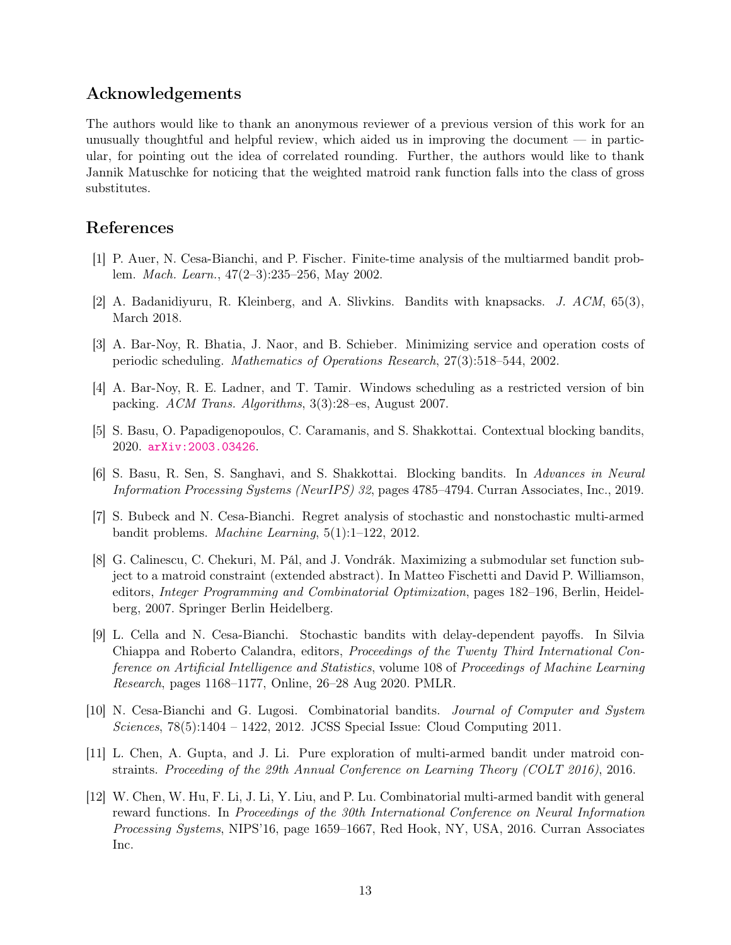# Acknowledgements

The authors would like to thank an anonymous reviewer of a previous version of this work for an unusually thoughtful and helpful review, which aided us in improving the document  $\overline{\phantom{a}}$  in particular, for pointing out the idea of correlated rounding. Further, the authors would like to thank Jannik Matuschke for noticing that the weighted matroid rank function falls into the class of gross substitutes.

# <span id="page-12-7"></span>References

- <span id="page-12-8"></span>[1] P. Auer, N. Cesa-Bianchi, and P. Fischer. Finite-time analysis of the multiarmed bandit problem. Mach. Learn., 47(2–3):235–256, May 2002.
- <span id="page-12-10"></span>[2] A. Badanidiyuru, R. Kleinberg, and A. Slivkins. Bandits with knapsacks. J. ACM, 65(3), March 2018.
- <span id="page-12-9"></span>[3] A. Bar-Noy, R. Bhatia, J. Naor, and B. Schieber. Minimizing service and operation costs of periodic scheduling. Mathematics of Operations Research, 27(3):518–544, 2002.
- [4] A. Bar-Noy, R. E. Ladner, and T. Tamir. Windows scheduling as a restricted version of bin packing. ACM Trans. Algorithms, 3(3):28–es, August 2007.
- <span id="page-12-4"></span><span id="page-12-3"></span>[5] S. Basu, O. Papadigenopoulos, C. Caramanis, and S. Shakkottai. Contextual blocking bandits, 2020. [arXiv:2003.03426](http://arxiv.org/abs/2003.03426).
- [6] S. Basu, R. Sen, S. Sanghavi, and S. Shakkottai. Blocking bandits. In Advances in Neural Information Processing Systems (NeurIPS) 32, pages 4785–4794. Curran Associates, Inc., 2019.
- <span id="page-12-11"></span><span id="page-12-0"></span>[7] S. Bubeck and N. Cesa-Bianchi. Regret analysis of stochastic and nonstochastic multi-armed bandit problems. Machine Learning, 5(1):1–122, 2012.
- [8] G. Calinescu, C. Chekuri, M. Pál, and J. Vondrák. Maximizing a submodular set function subject to a matroid constraint (extended abstract). In Matteo Fischetti and David P. Williamson, editors, Integer Programming and Combinatorial Optimization, pages 182–196, Berlin, Heidelberg, 2007. Springer Berlin Heidelberg.
- <span id="page-12-2"></span>[9] L. Cella and N. Cesa-Bianchi. Stochastic bandits with delay-dependent payoffs. In Silvia Chiappa and Roberto Calandra, editors, Proceedings of the Twenty Third International Conference on Artificial Intelligence and Statistics, volume 108 of Proceedings of Machine Learning Research, pages 1168–1177, Online, 26–28 Aug 2020. PMLR.
- <span id="page-12-1"></span>[10] N. Cesa-Bianchi and G. Lugosi. Combinatorial bandits. Journal of Computer and System Sciences, 78(5):1404 – 1422, 2012. JCSS Special Issue: Cloud Computing 2011.
- <span id="page-12-6"></span>[11] L. Chen, A. Gupta, and J. Li. Pure exploration of multi-armed bandit under matroid constraints. Proceeding of the 29th Annual Conference on Learning Theory (COLT 2016), 2016.
- <span id="page-12-5"></span>[12] W. Chen, W. Hu, F. Li, J. Li, Y. Liu, and P. Lu. Combinatorial multi-armed bandit with general reward functions. In Proceedings of the 30th International Conference on Neural Information Processing Systems, NIPS'16, page 1659–1667, Red Hook, NY, USA, 2016. Curran Associates Inc.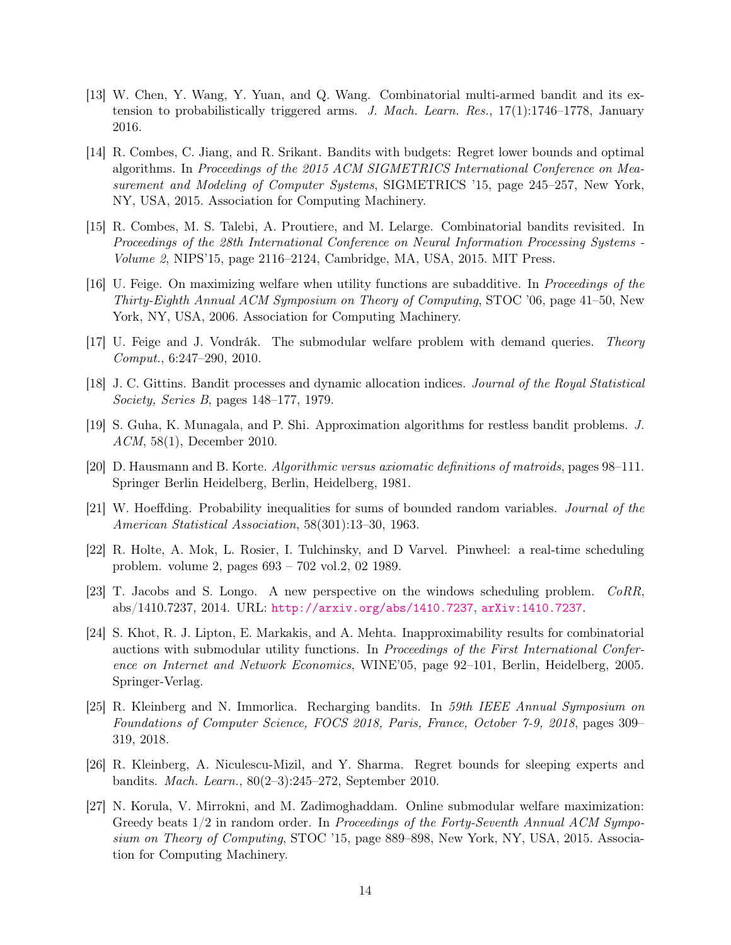- <span id="page-13-3"></span>[13] W. Chen, Y. Wang, Y. Yuan, and Q. Wang. Combinatorial multi-armed bandit and its extension to probabilistically triggered arms. J. Mach. Learn. Res., 17(1):1746–1778, January 2016.
- <span id="page-13-5"></span>[14] R. Combes, C. Jiang, and R. Srikant. Bandits with budgets: Regret lower bounds and optimal algorithms. In Proceedings of the 2015 ACM SIGMETRICS International Conference on Measurement and Modeling of Computer Systems, SIGMETRICS '15, page 245–257, New York, NY, USA, 2015. Association for Computing Machinery.
- <span id="page-13-4"></span>[15] R. Combes, M. S. Talebi, A. Proutiere, and M. Lelarge. Combinatorial bandits revisited. In Proceedings of the 28th International Conference on Neural Information Processing Systems - Volume 2, NIPS'15, page 2116–2124, Cambridge, MA, USA, 2015. MIT Press.
- <span id="page-13-13"></span>[16] U. Feige. On maximizing welfare when utility functions are subadditive. In Proceedings of the Thirty-Eighth Annual ACM Symposium on Theory of Computing, STOC '06, page 41–50, New York, NY, USA, 2006. Association for Computing Machinery.
- <span id="page-13-10"></span><span id="page-13-2"></span>[17] U. Feige and J. Vondrák. The submodular welfare problem with demand queries. Theory Comput., 6:247–290, 2010.
- <span id="page-13-1"></span>[18] J. C. Gittins. Bandit processes and dynamic allocation indices. Journal of the Royal Statistical Society, Series B, pages 148–177, 1979.
- [19] S. Guha, K. Munagala, and P. Shi. Approximation algorithms for restless bandit problems. J. ACM, 58(1), December 2010.
- <span id="page-13-14"></span><span id="page-13-12"></span>[20] D. Hausmann and B. Korte. Algorithmic versus axiomatic definitions of matroids, pages 98–111. Springer Berlin Heidelberg, Berlin, Heidelberg, 1981.
- [21] W. Hoeffding. Probability inequalities for sums of bounded random variables. Journal of the American Statistical Association, 58(301):13–30, 1963.
- <span id="page-13-8"></span><span id="page-13-7"></span>[22] R. Holte, A. Mok, L. Rosier, I. Tulchinsky, and D Varvel. Pinwheel: a real-time scheduling problem. volume 2, pages 693 – 702 vol.2, 02 1989.
- [23] T. Jacobs and S. Longo. A new perspective on the windows scheduling problem. CoRR, abs/1410.7237, 2014. URL: <http://arxiv.org/abs/1410.7237>, [arXiv:1410.7237](http://arxiv.org/abs/1410.7237).
- <span id="page-13-9"></span>[24] S. Khot, R. J. Lipton, E. Markakis, and A. Mehta. Inapproximability results for combinatorial auctions with submodular utility functions. In Proceedings of the First International Conference on Internet and Network Economics, WINE'05, page 92–101, Berlin, Heidelberg, 2005. Springer-Verlag.
- <span id="page-13-0"></span>[25] R. Kleinberg and N. Immorlica. Recharging bandits. In 59th IEEE Annual Symposium on Foundations of Computer Science, FOCS 2018, Paris, France, October 7-9, 2018, pages 309– 319, 2018.
- <span id="page-13-6"></span>[26] R. Kleinberg, A. Niculescu-Mizil, and Y. Sharma. Regret bounds for sleeping experts and bandits. Mach. Learn., 80(2–3):245–272, September 2010.
- <span id="page-13-11"></span>[27] N. Korula, V. Mirrokni, and M. Zadimoghaddam. Online submodular welfare maximization: Greedy beats  $1/2$  in random order. In Proceedings of the Forty-Seventh Annual ACM Symposium on Theory of Computing, STOC '15, page 889–898, New York, NY, USA, 2015. Association for Computing Machinery.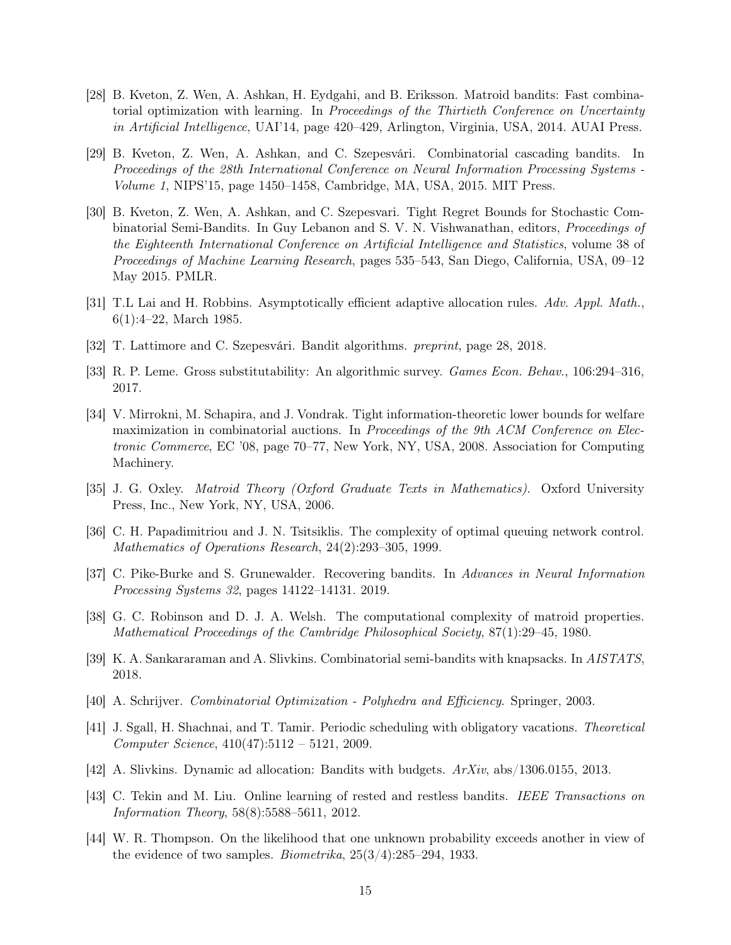- <span id="page-14-4"></span>[28] B. Kveton, Z. Wen, A. Ashkan, H. Eydgahi, and B. Eriksson. Matroid bandits: Fast combinatorial optimization with learning. In Proceedings of the Thirtieth Conference on Uncertainty in Artificial Intelligence, UAI'14, page 420–429, Arlington, Virginia, USA, 2014. AUAI Press.
- <span id="page-14-9"></span>[29] B. Kveton, Z. Wen, A. Ashkan, and C. Szepesvári. Combinatorial cascading bandits. In Proceedings of the 28th International Conference on Neural Information Processing Systems - Volume 1, NIPS'15, page 1450–1458, Cambridge, MA, USA, 2015. MIT Press.
- <span id="page-14-8"></span>[30] B. Kveton, Z. Wen, A. Ashkan, and C. Szepesvari. Tight Regret Bounds for Stochastic Combinatorial Semi-Bandits. In Guy Lebanon and S. V. N. Vishwanathan, editors, Proceedings of the Eighteenth International Conference on Artificial Intelligence and Statistics, volume 38 of Proceedings of Machine Learning Research, pages 535–543, San Diego, California, USA, 09–12 May 2015. PMLR.
- <span id="page-14-2"></span><span id="page-14-1"></span>[31] T.L Lai and H. Robbins. Asymptotically efficient adaptive allocation rules. Adv. Appl. Math., 6(1):4–22, March 1985.
- <span id="page-14-16"></span>[32] T. Lattimore and C. Szepesvári. Bandit algorithms. preprint, page 28, 2018.
- <span id="page-14-12"></span>[33] R. P. Leme. Gross substitutability: An algorithmic survey. Games Econ. Behav., 106:294–316, 2017.
- [34] V. Mirrokni, M. Schapira, and J. Vondrak. Tight information-theoretic lower bounds for welfare maximization in combinatorial auctions. In Proceedings of the 9th ACM Conference on Electronic Commerce, EC '08, page 70–77, New York, NY, USA, 2008. Association for Computing Machinery.
- <span id="page-14-14"></span><span id="page-14-7"></span>[35] J. G. Oxley. Matroid Theory (Oxford Graduate Texts in Mathematics). Oxford University Press, Inc., New York, NY, USA, 2006.
- <span id="page-14-3"></span>[36] C. H. Papadimitriou and J. N. Tsitsiklis. The complexity of optimal queuing network control. Mathematics of Operations Research, 24(2):293–305, 1999.
- <span id="page-14-15"></span>[37] C. Pike-Burke and S. Grunewalder. Recovering bandits. In Advances in Neural Information Processing Systems 32, pages 14122–14131. 2019.
- [38] G. C. Robinson and D. J. A. Welsh. The computational complexity of matroid properties. Mathematical Proceedings of the Cambridge Philosophical Society, 87(1):29–45, 1980.
- <span id="page-14-13"></span><span id="page-14-10"></span>[39] K. A. Sankararaman and A. Slivkins. Combinatorial semi-bandits with knapsacks. In AISTATS, 2018.
- <span id="page-14-5"></span>[40] A. Schrijver. Combinatorial Optimization - Polyhedra and Efficiency. Springer, 2003.
- [41] J. Sgall, H. Shachnai, and T. Tamir. Periodic scheduling with obligatory vacations. Theoretical Computer Science, 410(47):5112 – 5121, 2009.
- <span id="page-14-11"></span><span id="page-14-6"></span>[42] A. Slivkins. Dynamic ad allocation: Bandits with budgets. ArXiv, abs/1306.0155, 2013.
- [43] C. Tekin and M. Liu. Online learning of rested and restless bandits. IEEE Transactions on Information Theory, 58(8):5588–5611, 2012.
- <span id="page-14-0"></span>[44] W. R. Thompson. On the likelihood that one unknown probability exceeds another in view of the evidence of two samples. *Biometrika*,  $25(3/4)$ :  $285-294$ , 1933.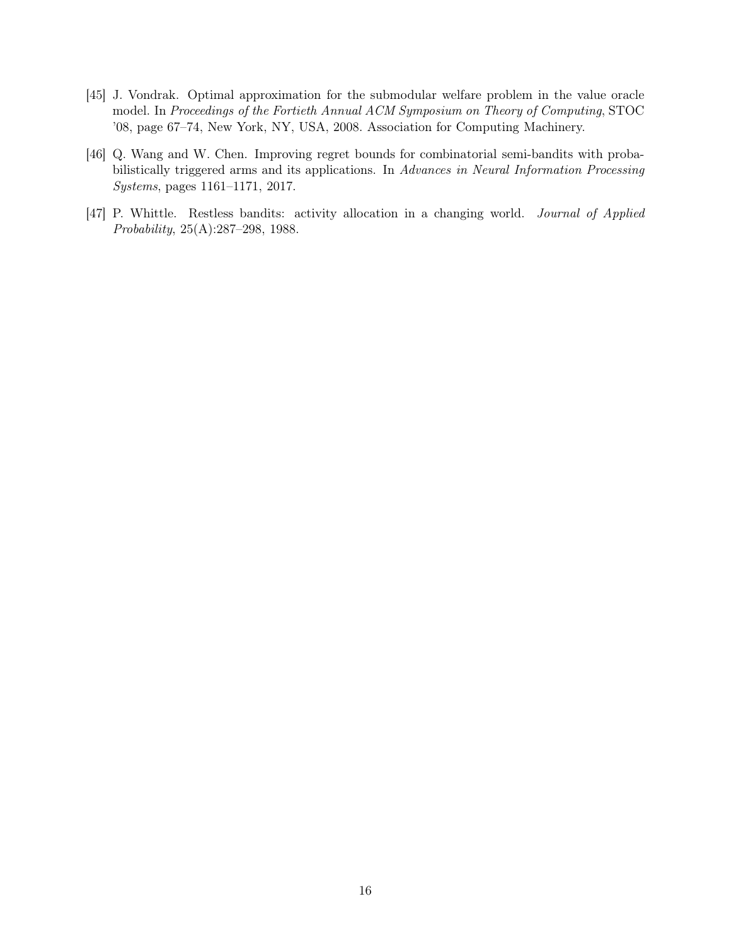- <span id="page-15-0"></span>[45] J. Vondrak. Optimal approximation for the submodular welfare problem in the value oracle model. In Proceedings of the Fortieth Annual ACM Symposium on Theory of Computing, STOC '08, page 67–74, New York, NY, USA, 2008. Association for Computing Machinery.
- <span id="page-15-2"></span>[46] Q. Wang and W. Chen. Improving regret bounds for combinatorial semi-bandits with probabilistically triggered arms and its applications. In Advances in Neural Information Processing Systems, pages 1161–1171, 2017.
- <span id="page-15-1"></span>[47] P. Whittle. Restless bandits: activity allocation in a changing world. Journal of Applied Probability, 25(A):287–298, 1988.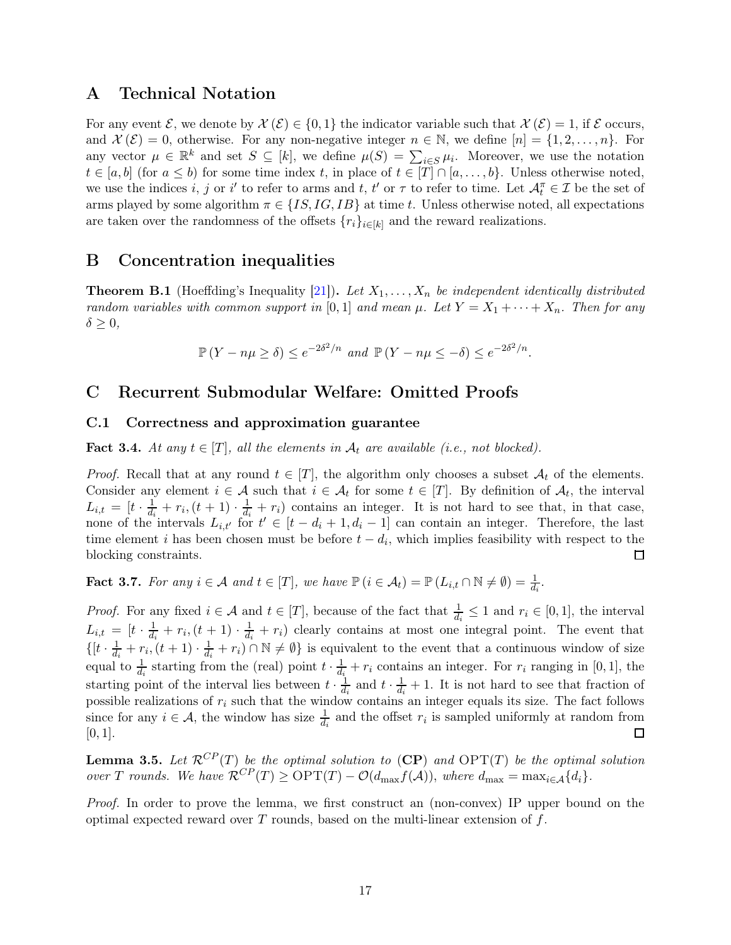# <span id="page-16-0"></span>A Technical Notation

For any event  $\mathcal{E}$ , we denote by  $\mathcal{X}(\mathcal{E}) \in \{0,1\}$  the indicator variable such that  $\mathcal{X}(\mathcal{E}) = 1$ , if  $\mathcal{E}$  occurs, and  $\mathcal{X}(\mathcal{E})=0$ , otherwise. For any non-negative integer  $n \in \mathbb{N}$ , we define  $[n]=\{1,2,\ldots,n\}$ . For any vector  $\mu \in \mathbb{R}^k$  and set  $S \subseteq [k]$ , we define  $\mu(S) = \sum_{i \in S} \mu_i$ . Moreover, we use the notation  $t \in [a, b]$  (for  $a \leq b$ ) for some time index t, in place of  $t \in [T] \cap [a, \ldots, b]$ . Unless otherwise noted, we use the indices i, j or i' to refer to arms and t, t' or  $\tau$  to refer to time. Let  $\mathcal{A}_t^{\pi} \in \mathcal{I}$  be the set of arms played by some algorithm  $\pi \in \{IS, IG, IB\}$  at time t. Unless otherwise noted, all expectations are taken over the randomness of the offsets  ${r_i}_{i\in[k]}$  and the reward realizations.

# B Concentration inequalities

**Theorem B.1** (Hoeffding's Inequality [\[21\]](#page-13-14)). Let  $X_1, \ldots, X_n$  be independent identically distributed random variables with common support in [0,1] and mean  $\mu$ . Let  $Y = X_1 + \cdots + X_n$ . Then for any  $\delta \geq 0,$ 

$$
\mathbb{P}\left(Y - n\mu \ge \delta\right) \le e^{-2\delta^2/n} \text{ and } \mathbb{P}\left(Y - n\mu \le -\delta\right) \le e^{-2\delta^2/n}.
$$

# C Recurrent Submodular Welfare: Omitted Proofs

### C.1 Correctness and approximation guarantee

**Fact 3.4.** At any  $t \in [T]$ , all the elements in  $A_t$  are available (i.e., not blocked).

*Proof.* Recall that at any round  $t \in [T]$ , the algorithm only chooses a subset  $A_t$  of the elements. Consider any element  $i \in \mathcal{A}$  such that  $i \in \mathcal{A}_t$  for some  $t \in [T]$ . By definition of  $\mathcal{A}_t$ , the interval  $L_{i,t} = \left[t \cdot \frac{1}{d_i}\right]$  $\frac{1}{d_i}+r_i, (t+1)\cdot \frac{1}{d_i}$  $\frac{1}{d_i} + r_i$  contains an integer. It is not hard to see that, in that case, none of the intervals  $L_{i,t'}$  for  $t' \in [t-d_i+1,d_i-1]$  can contain an integer. Therefore, the last time element *i* has been chosen must be before  $t - d_i$ , which implies feasibility with respect to the blocking constraints. □

**Fact 3.7.** For any  $i \in \mathcal{A}$  and  $t \in [T]$ , we have  $\mathbb{P}\left(i \in \mathcal{A}_t\right) = \mathbb{P}\left(L_{i,t} \cap \mathbb{N} \neq \emptyset\right) = \frac{1}{d_i}$ .

*Proof.* For any fixed  $i \in \mathcal{A}$  and  $t \in [T]$ , because of the fact that  $\frac{1}{d_i} \leq 1$  and  $r_i \in [0,1]$ , the interval  $L_{i,t} \:=\: [t \cdot \frac{1}{d_i}$  $\frac{1}{d_i}+r_i,(t+1)\cdot\frac{1}{d_i}$  $\frac{1}{d_i} + r_i$ ) clearly contains at most one integral point. The event that  $\{[t\cdot \frac{1}{d_t}$  $\frac{1}{d_i}+r_i,(t+1)\cdot\frac{1}{d_i}$  $\frac{1}{d_i} + r_i$ ) ∩  $\mathbb{N} \neq \emptyset$ } is equivalent to the event that a continuous window of size equal to  $\frac{1}{d_i}$  starting from the (real) point  $t \cdot \frac{1}{d_i}$  $\frac{1}{d_i} + r_i$  contains an integer. For  $r_i$  ranging in [0, 1], the starting point of the interval lies between  $t \cdot \frac{1}{d_i}$  $\frac{1}{d_i}$  and  $t \cdot \frac{1}{d_i}$  $\frac{1}{d_i} + 1$ . It is not hard to see that fraction of possible realizations of  $r_i$  such that the window contains an integer equals its size. The fact follows since for any  $i \in \mathcal{A}$ , the window has size  $\frac{1}{d_i}$  and the offset  $r_i$  is sampled uniformly at random from  $[0, 1].$  $\Box$ 

**Lemma 3.5.** Let  $\mathcal{R}^{CP}(T)$  $\mathcal{R}^{CP}(T)$  $\mathcal{R}^{CP}(T)$  be the optimal solution to  $(CP)$  and  $\text{OPT}(T)$  be the optimal solution over T rounds. We have  $\mathcal{R}^{CP}(T) \ge \text{OPT}(T) - \mathcal{O}(d_{\text{max}}f(\mathcal{A}))$ , where  $d_{\text{max}} = \max_{i \in \mathcal{A}} \{d_i\}.$ 

Proof. In order to prove the lemma, we first construct an (non-convex) IP upper bound on the optimal expected reward over  $T$  rounds, based on the multi-linear extension of  $f$ .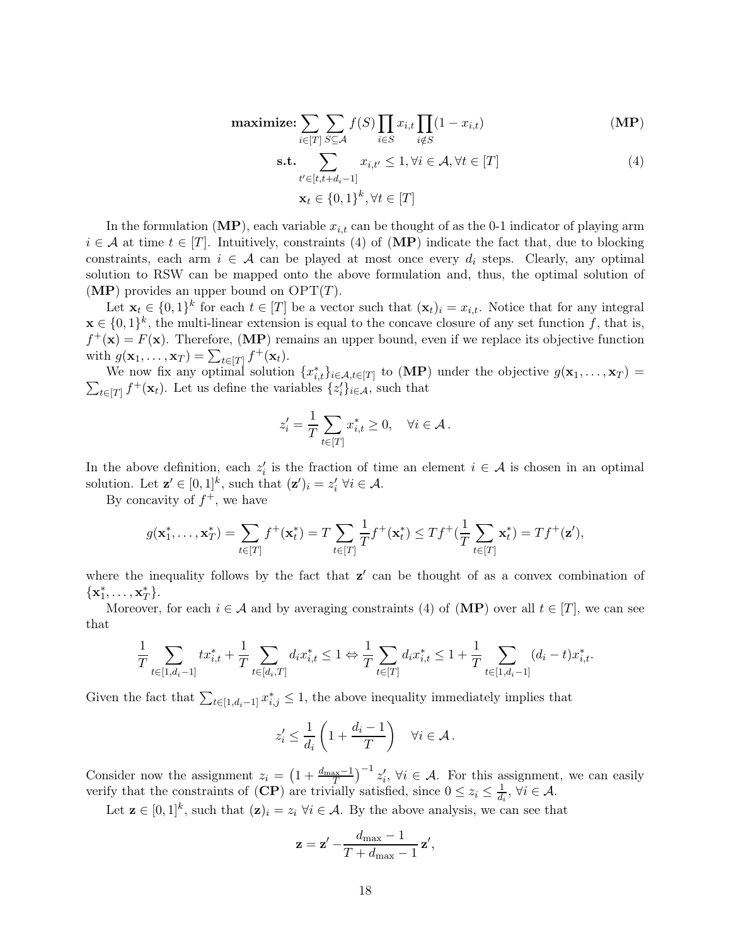$$
\text{maximize:} \sum_{i \in [T]} \sum_{S \subseteq \mathcal{A}} f(S) \prod_{i \in S} x_{i,t} \prod_{i \notin S} (1 - x_{i,t}) \tag{MP}
$$

<span id="page-17-1"></span><span id="page-17-0"></span>
$$
\mathbf{s.t.} \sum_{t' \in [t, t + d_i - 1]} x_{i, t'} \le 1, \forall i \in \mathcal{A}, \forall t \in [T]
$$
\n
$$
\mathbf{x}_t \in \{0, 1\}^k, \forall t \in [T]
$$
\n(4)

In the formulation  $(MP)$  $(MP)$  $(MP)$ , each variable  $x_{i,t}$  can be thought of as the 0-1 indicator of playing arm  $i \in A$  at time  $t \in [T]$ . Intuitively, constraints [\(4\)](#page-17-1) of ([MP](#page-17-0)) indicate the fact that, due to blocking constraints, each arm  $i \in \mathcal{A}$  can be played at most once every  $d_i$  steps. Clearly, any optimal solution to RSW can be mapped onto the above formulation and, thus, the optimal solution of  $(MP)$  $(MP)$  $(MP)$  provides an upper bound on  $\text{OPT}(T)$ .

Let  $\mathbf{x}_t \in \{0,1\}^k$  for each  $t \in [T]$  be a vector such that  $(\mathbf{x}_t)_i = x_{i,t}$ . Notice that for any integral  $\mathbf{x} \in \{0,1\}^k$ , the multi-linear extension is equal to the concave closure of any set function f, that is,  $f^+({\bf x}) = F({\bf x})$ . Therefore, ([MP](#page-17-0)) remains an upper bound, even if we replace its objective function with  $g(\mathbf{x}_1, ..., \mathbf{x}_T) = \sum_{t \in [T]} f^+(\mathbf{x}_t)$ .

We now fix any optimal solution  $\{x_{i,t}^*\}_{i\in\mathcal{A},t\in[T]}$  to ([MP](#page-17-0)) under the objective  $g(\mathbf{x}_1,\ldots,\mathbf{x}_T)$  $\sum_{t\in[T]} f^{+}(\mathbf{x}_{t})$ . Let us define the variables  $\{z_{i}'\}_{i\in\mathcal{A}}$ , such that

$$
z_i' = \frac{1}{T} \sum_{t \in [T]} x_{i,t}^* \ge 0, \quad \forall i \in \mathcal{A}.
$$

In the above definition, each  $z_i'$  is the fraction of time an element  $i \in \mathcal{A}$  is chosen in an optimal solution. Let  $\mathbf{z}' \in [0,1]^k$ , such that  $(\mathbf{z}')_i = z'_i \; \forall i \in \mathcal{A}$ .

By concavity of  $f^+$ , we have

$$
g(\mathbf{x}_1^*, \dots, \mathbf{x}_T^*) = \sum_{t \in [T]} f^+(\mathbf{x}_t^*) = T \sum_{t \in [T]} \frac{1}{T} f^+(\mathbf{x}_t^*) \le T f^+(\frac{1}{T} \sum_{t \in [T]} \mathbf{x}_t^*) = T f^+(\mathbf{z}'),
$$

where the inequality follows by the fact that  $z'$  can be thought of as a convex combination of  ${x_1^*, \ldots, x_T^*}.$ 

Moreover, for each  $i \in A$  and by averaging constraints [\(4\)](#page-17-1) of ([MP](#page-17-0)) over all  $t \in [T]$ , we can see that

$$
\frac{1}{T} \sum_{t \in [1, d_i - 1]} tx_{i,t}^* + \frac{1}{T} \sum_{t \in [d_i, T]} d_i x_{i,t}^* \le 1 \Leftrightarrow \frac{1}{T} \sum_{t \in [T]} d_i x_{i,t}^* \le 1 + \frac{1}{T} \sum_{t \in [1, d_i - 1]} (d_i - t) x_{i,t}^*.
$$

Given the fact that  $\sum_{t\in [1,d_i-1]} x_{i,j}^* \leq 1$ , the above inequality immediately implies that

$$
z_i' \leq \frac{1}{d_i} \left( 1 + \frac{d_i - 1}{T} \right) \quad \forall i \in \mathcal{A} \, .
$$

Consider now the assignment  $z_i = \left(1 + \frac{d_{\text{max}}-1}{T}\right)^{-1} z'_i$ ,  $\forall i \in \mathcal{A}$ . For this assignment, we can easily verify that the constraints of  $(CP)$  $(CP)$  $(CP)$  are trivially satisfied, since  $0 \le z_i \le \frac{1}{d_i}$  $\frac{1}{d_i}, \forall i \in \mathcal{A}.$ 

Let  $\mathbf{z} \in [0,1]^k$ , such that  $(\mathbf{z})_i = z_i \; \forall i \in \mathcal{A}$ . By the above analysis, we can see that

$$
\mathbf{z} = \mathbf{z}' - \frac{d_{\text{max}} - 1}{T + d_{\text{max}} - 1} \mathbf{z}',
$$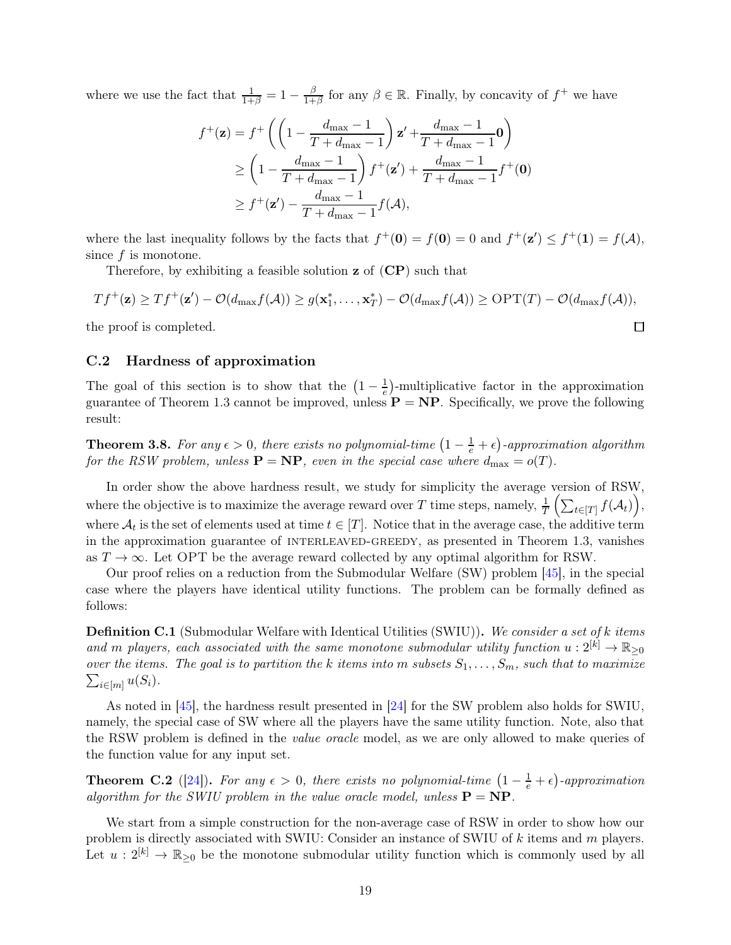where we use the fact that  $\frac{1}{1+\beta} = 1 - \frac{\beta}{1+\beta}$  $\frac{\beta}{1+\beta}$  for any  $\beta \in \mathbb{R}$ . Finally, by concavity of  $f^+$  we have

$$
f^+(\mathbf{z}) = f^+ \left( \left( 1 - \frac{d_{\max} - 1}{T + d_{\max} - 1} \right) \mathbf{z}' + \frac{d_{\max} - 1}{T + d_{\max} - 1} \mathbf{0} \right)
$$
  
\n
$$
\geq \left( 1 - \frac{d_{\max} - 1}{T + d_{\max} - 1} \right) f^+(\mathbf{z}') + \frac{d_{\max} - 1}{T + d_{\max} - 1} f^+(\mathbf{0})
$$
  
\n
$$
\geq f^+(\mathbf{z}') - \frac{d_{\max} - 1}{T + d_{\max} - 1} f(\mathcal{A}),
$$

where the last inequality follows by the facts that  $f^+(\mathbf{0}) = f(\mathbf{0}) = 0$  and  $f^+(\mathbf{z}') \leq f^+(\mathbf{1}) = f(\mathcal{A})$ , since f is monotone.

Therefore, by exhibiting a feasible solution z of ([CP](#page-7-0)) such that

$$
Tf^+(\mathbf{z}) \ge Tf^+(\mathbf{z}') - \mathcal{O}(d_{\max}f(\mathcal{A})) \ge g(\mathbf{x}_1^*, \dots, \mathbf{x}_T^*) - \mathcal{O}(d_{\max}f(\mathcal{A})) \ge \text{OPT}(T) - \mathcal{O}(d_{\max}f(\mathcal{A})),
$$

 $\Box$ 

<span id="page-18-0"></span>the proof is completed.

### C.2 Hardness of approximation

The goal of this section is to show that the  $\left(1-\frac{1}{e}\right)$  $\frac{1}{e}$ )-multiplicative factor in the approximation guarantee of Theorem [1.3](#page-4-0) cannot be improved, unless  $P = NP$ . Specifically, we prove the following result:

**Theorem 3.8.** For any  $\epsilon > 0$ , there exists no polynomial-time  $\left(1 - \frac{1}{e} + \epsilon\right)$ -approximation algorithm for the RSW problem, unless  $\mathbf{P} = \mathbf{NP}$ , even in the special case where  $d_{\text{max}} = o(T)$ .

In order show the above hardness result, we study for simplicity the average version of RSW, where the objective is to maximize the average reward over T time steps, namely,  $\frac{1}{T} \left( \sum_{t \in [T]} f(\mathcal{A}_t) \right)$ , where  $A_t$  is the set of elements used at time  $t \in [T]$ . Notice that in the average case, the additive term in the approximation guarantee of INTERLEAVED-GREEDY, as presented in Theorem [1.3,](#page-4-0) vanishes as  $T \to \infty$ . Let OPT be the average reward collected by any optimal algorithm for RSW.

Our proof relies on a reduction from the Submodular Welfare (SW) problem [\[45\]](#page-15-0), in the special case where the players have identical utility functions. The problem can be formally defined as follows:

Definition C.1 (Submodular Welfare with Identical Utilities (SWIU)). We consider a set of k items and m players, each associated with the same monotone submodular utility function  $u: 2^{[k]} \to \mathbb{R}_{\geq 0}$ over the items. The goal is to partition the k items into m subsets  $S_1, \ldots, S_m$ , such that to maximize  $\sum_{i\in[m]}u(S_i).$ 

As noted in [\[45\]](#page-15-0), the hardness result presented in [\[24\]](#page-13-9) for the SW problem also holds for SWIU, namely, the special case of SW where all the players have the same utility function. Note, also that the RSW problem is defined in the *value oracle* model, as we are only allowed to make queries of the function value for any input set.

<span id="page-18-1"></span>**Theorem C.2** ([\[24\]](#page-13-9)). For any  $\epsilon > 0$ , there exists no polynomial-time  $\left(1 - \frac{1}{e} + \epsilon\right)$ -approximation algorithm for the SWIU problem in the value oracle model, unless  $\mathbf{P} = \mathbf{NP}$ .

We start from a simple construction for the non-average case of RSW in order to show how our problem is directly associated with SWIU: Consider an instance of SWIU of k items and m players. Let  $u: 2^{[k]} \to \mathbb{R}_{\geq 0}$  be the monotone submodular utility function which is commonly used by all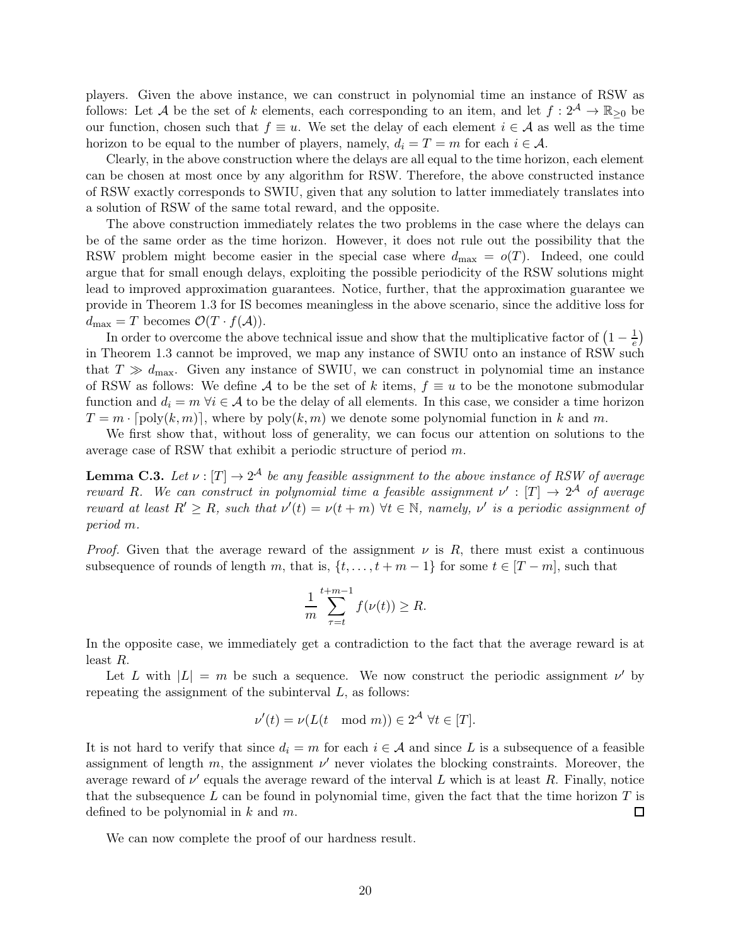players. Given the above instance, we can construct in polynomial time an instance of RSW as follows: Let A be the set of k elements, each corresponding to an item, and let  $f: 2^{\mathcal{A}} \to \mathbb{R}_{\geq 0}$  be our function, chosen such that  $f \equiv u$ . We set the delay of each element  $i \in \mathcal{A}$  as well as the time horizon to be equal to the number of players, namely,  $d_i = T = m$  for each  $i \in \mathcal{A}$ .

Clearly, in the above construction where the delays are all equal to the time horizon, each element can be chosen at most once by any algorithm for RSW. Therefore, the above constructed instance of RSW exactly corresponds to SWIU, given that any solution to latter immediately translates into a solution of RSW of the same total reward, and the opposite.

The above construction immediately relates the two problems in the case where the delays can be of the same order as the time horizon. However, it does not rule out the possibility that the RSW problem might become easier in the special case where  $d_{\text{max}} = o(T)$ . Indeed, one could argue that for small enough delays, exploiting the possible periodicity of the RSW solutions might lead to improved approximation guarantees. Notice, further, that the approximation guarantee we provide in Theorem [1.3](#page-4-0) for IS becomes meaningless in the above scenario, since the additive loss for  $d_{\text{max}} = T$  becomes  $\mathcal{O}(T \cdot f(\mathcal{A}))$ .

In order to overcome the above technical issue and show that the multiplicative factor of  $\left(1 - \frac{1}{e}\right)$  $(\frac{1}{e})$ in Theorem [1.3](#page-4-0) cannot be improved, we map any instance of SWIU onto an instance of RSW such that  $T \gg d_{\text{max}}$ . Given any instance of SWIU, we can construct in polynomial time an instance of RSW as follows: We define A to be the set of k items,  $f \equiv u$  to be the monotone submodular function and  $d_i = m \,\forall i \in \mathcal{A}$  to be the delay of all elements. In this case, we consider a time horizon  $T = m \cdot [\text{poly}(k, m)]$ , where by  $\text{poly}(k, m)$  we denote some polynomial function in k and m.

We first show that, without loss of generality, we can focus our attention on solutions to the average case of RSW that exhibit a periodic structure of period m.

<span id="page-19-0"></span>**Lemma C.3.** Let  $\nu : [T] \to 2^{\mathcal{A}}$  be any feasible assignment to the above instance of RSW of average reward R. We can construct in polynomial time a feasible assignment  $\nu' : [T] \to 2^{\mathcal{A}}$  of average reward at least  $R' \ge R$ , such that  $\nu'(t) = \nu(t+m)$   $\forall t \in \mathbb{N}$ , namely,  $\nu'$  is a periodic assignment of period m.

*Proof.* Given that the average reward of the assignment  $\nu$  is R, there must exist a continuous subsequence of rounds of length m, that is,  $\{t, \ldots, t + m - 1\}$  for some  $t \in [T - m]$ , such that

$$
\frac{1}{m}\sum_{\tau=t}^{t+m-1} f(\nu(t)) \ge R.
$$

In the opposite case, we immediately get a contradiction to the fact that the average reward is at least R.

Let L with  $|L| = m$  be such a sequence. We now construct the periodic assignment  $\nu'$  by repeating the assignment of the subinterval  $L$ , as follows:

$$
\nu'(t) = \nu(L(t \mod m)) \in 2^{\mathcal{A}} \ \forall t \in [T].
$$

It is not hard to verify that since  $d_i = m$  for each  $i \in \mathcal{A}$  and since L is a subsequence of a feasible assignment of length  $m$ , the assignment  $\nu'$  never violates the blocking constraints. Moreover, the average reward of  $\nu'$  equals the average reward of the interval L which is at least R. Finally, notice that the subsequence L can be found in polynomial time, given the fact that the time horizon  $T$  is defined to be polynomial in  $k$  and  $m$ .  $\Box$ 

We can now complete the proof of our hardness result.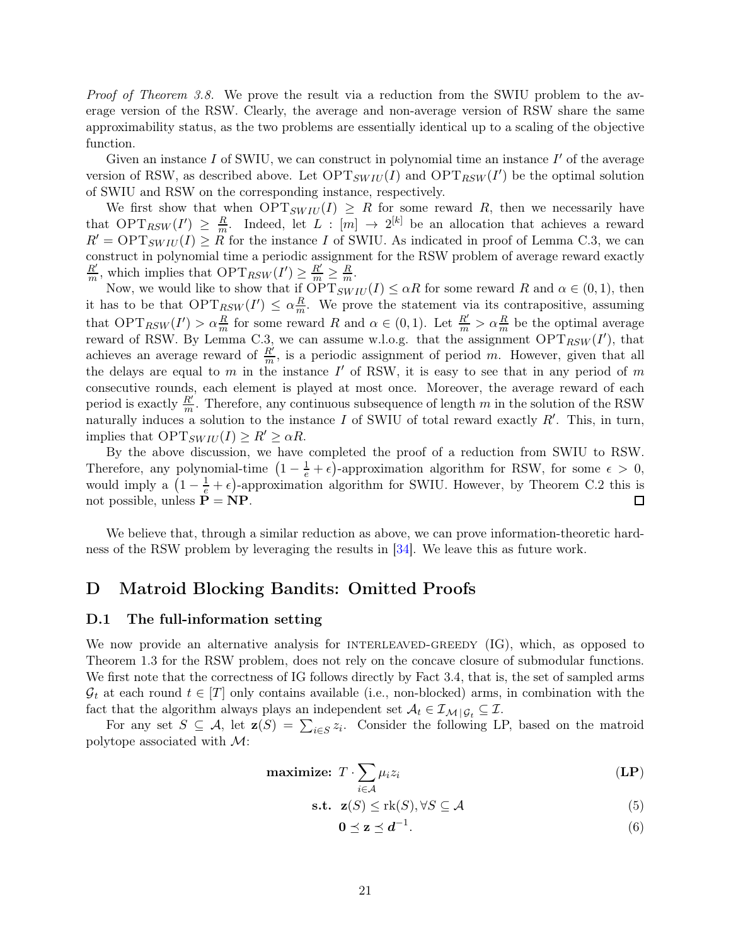Proof of Theorem [3.8.](#page-8-1) We prove the result via a reduction from the SWIU problem to the average version of the RSW. Clearly, the average and non-average version of RSW share the same approximability status, as the two problems are essentially identical up to a scaling of the objective function.

Given an instance  $I$  of SWIU, we can construct in polynomial time an instance  $I'$  of the average version of RSW, as described above. Let  $\text{OPT}_{SWIU}(I)$  and  $\text{OPT}_{RSW}(I')$  be the optimal solution of SWIU and RSW on the corresponding instance, respectively.

We first show that when  $\text{OPT}_{SWIU}(I) \geq R$  for some reward R, then we necessarily have that  $\text{OPT}_{RSW}(I') \geq \frac{R}{m}$ . Indeed, let  $L : [m] \to 2^{[k]}$  be an allocation that achieves a reward  $R' = \text{OPT}_{SWIU}(I) \geq R$  for the instance I of SWIU. As indicated in proof of Lemma [C.3,](#page-19-0) we can construct in polynomial time a periodic assignment for the RSW problem of average reward exactly  $R^{\prime}$  $\frac{R'}{m}$ , which implies that  $\text{OPT}_{RSW}(I') \geq \frac{R'}{m} \geq \frac{R}{m}$ .

Now, we would like to show that if  $\overline{OPT}_{SWIU}(I) \leq \alpha R$  for some reward R and  $\alpha \in (0,1)$ , then it has to be that  $\text{OPT}_{RSW}(I') \leq \alpha \frac{R}{m}$  $\frac{R}{m}$ . We prove the statement via its contrapositive, assuming that  $\text{OPT}_{RSW}(I') > \alpha \frac{R}{m}$  for some reward R and  $\alpha \in (0,1)$ . Let  $\frac{R'}{m} > \alpha \frac{R}{m}$  be the optimal average reward of RSW. By Lemma [C.3,](#page-19-0) we can assume w.l.o.g. that the assignment  $\text{OPT}_{RSW}(I')$ , that achieves an average reward of  $\frac{R'}{m}$ , is a periodic assignment of period m. However, given that all the delays are equal to m in the instance  $I'$  of RSW, it is easy to see that in any period of m consecutive rounds, each element is played at most once. Moreover, the average reward of each period is exactly  $\frac{R'}{m}$ . Therefore, any continuous subsequence of length m in the solution of the RSW naturally induces a solution to the instance I of SWIU of total reward exactly  $R'$ . This, in turn, implies that  $\text{OPT}_{SW \text{IU}}(I) \geq R' \geq \alpha R$ .

By the above discussion, we have completed the proof of a reduction from SWIU to RSW. Therefore, any polynomial-time  $(1 - \frac{1}{e} + \epsilon)$ -approximation algorithm for RSW, for some  $\epsilon > 0$ , would imply a  $(1 - \frac{1}{e} + \epsilon)$ -approximation algorithm for SWIU. However, by Theorem [C.2](#page-18-1) this is not possible, unless  $P = NP$ . 囗

We believe that, through a similar reduction as above, we can prove information-theoretic hardness of the RSW problem by leveraging the results in [\[34\]](#page-14-12). We leave this as future work.

# D Matroid Blocking Bandits: Omitted Proofs

### <span id="page-20-0"></span>D.1 The full-information setting

We now provide an alternative analysis for INTERLEAVED-GREEDY  $(\mathrm{IG})$ , which, as opposed to Theorem [1.3](#page-4-0) for the RSW problem, does not rely on the concave closure of submodular functions. We first note that the correctness of IG follows directly by Fact [3.4,](#page-7-2) that is, the set of sampled arms  $G_t$  at each round  $t \in [T]$  only contains available (i.e., non-blocked) arms, in combination with the fact that the algorithm always plays an independent set  $A_t \in \mathcal{I}_{M \mid \mathcal{G}_t} \subseteq \mathcal{I}$ .

For any set  $S \subseteq \mathcal{A}$ , let  $\mathbf{z}(S) = \sum_{i \in S} z_i$ . Consider the following LP, based on the matroid polytope associated with M:

$$
\text{maximize: } T \cdot \sum_{i \in \mathcal{A}} \mu_i z_i \tag{LP}
$$

$$
\textbf{s.t. } \mathbf{z}(S) \leq \text{rk}(S), \forall S \subseteq \mathcal{A}
$$
 (5)

<span id="page-20-3"></span><span id="page-20-2"></span><span id="page-20-1"></span>
$$
0 \le z \le d^{-1}.\tag{6}
$$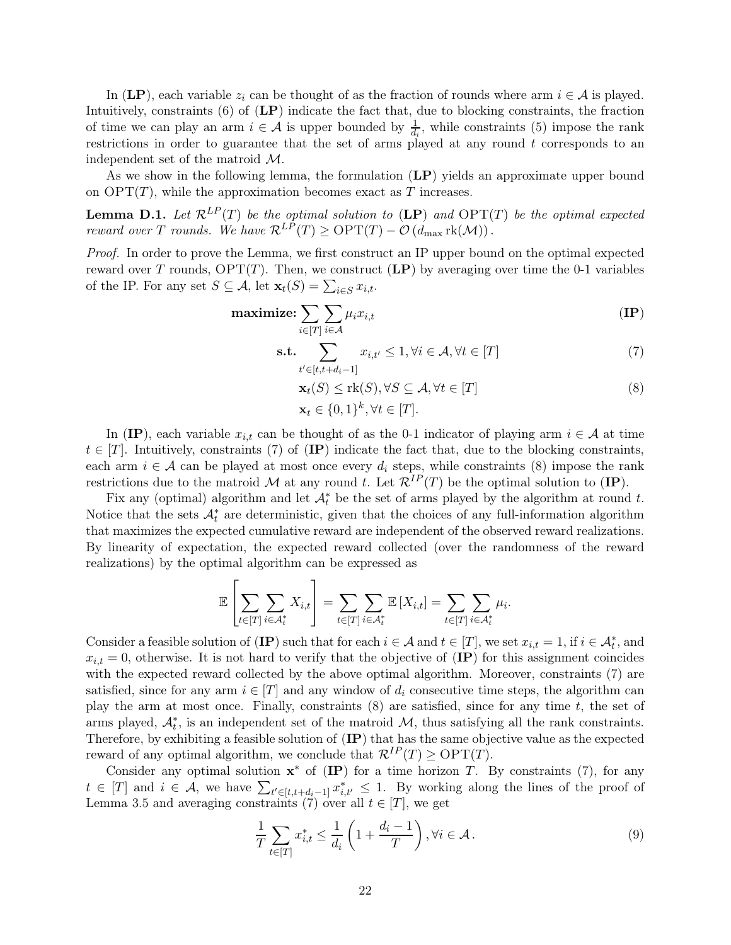In ([LP](#page-20-1)), each variable  $z_i$  can be thought of as the fraction of rounds where arm  $i \in A$  is played. Intuitively, constraints [\(6\)](#page-20-2) of ([LP](#page-20-1)) indicate the fact that, due to blocking constraints, the fraction of time we can play an arm  $i \in \mathcal{A}$  is upper bounded by  $\frac{1}{d_i}$ , while constraints [\(5\)](#page-20-3) impose the rank restrictions in order to guarantee that the set of arms played at any round  $t$  corresponds to an independent set of the matroid M.

As we show in the following lemma, the formulation  $(LP)$  $(LP)$  $(LP)$  yields an approximate upper bound on  $\text{OPT}(T)$ , while the approximation becomes exact as T increases.

<span id="page-21-4"></span>**Lemma D.1.** Let  $\mathcal{R}^{LP}(T)$  $\mathcal{R}^{LP}(T)$  $\mathcal{R}^{LP}(T)$  be the optimal solution to (LP) and  $\text{OPT}(T)$  be the optimal expected reward over T rounds. We have  $\mathcal{R}^{LP}(T) \ge \text{OPT}(T) - \mathcal{O}(d_{\text{max}} \text{rk}(\mathcal{M}))$ .

Proof. In order to prove the Lemma, we first construct an IP upper bound on the optimal expected reward over T rounds,  $\text{OPT}(T)$ . Then, we construct ([LP](#page-20-1)) by averaging over time the 0-1 variables of the IP. For any set  $S \subseteq \mathcal{A}$ , let  $\mathbf{x}_t(S) = \sum_{i \in S} x_{i,t}$ .

$$
\mathbf{maximize:} \sum_{i \in [T]} \sum_{i \in \mathcal{A}} \mu_i x_{i,t} \tag{IP}
$$

$$
\text{s.t.} \sum_{t' \in [t, t + d_i - 1]} x_{i, t'} \le 1, \forall i \in \mathcal{A}, \forall t \in [T]
$$
\n<sup>(7)</sup>

<span id="page-21-2"></span><span id="page-21-1"></span><span id="page-21-0"></span>
$$
\mathbf{x}_t(S) \leq \text{rk}(S), \forall S \subseteq \mathcal{A}, \forall t \in [T]
$$
\n(8)

$$
\mathbf{x}_t \in \{0,1\}^k, \forall t \in [T].
$$

In ([IP](#page-21-0)), each variable  $x_{i,t}$  can be thought of as the 0-1 indicator of playing arm  $i \in \mathcal{A}$  at time  $t \in [T]$ . Intuitively, constraints [\(7\)](#page-21-1) of ([IP](#page-21-0)) indicate the fact that, due to the blocking constraints, each arm  $i \in \mathcal{A}$  can be played at most once every  $d_i$  steps, while constraints [\(8\)](#page-21-2) impose the rank restrictions due to the matroid M at any round t. Let  $\mathcal{R}^{IP}(T)$  $\mathcal{R}^{IP}(T)$  $\mathcal{R}^{IP}(T)$  be the optimal solution to (IP).

Fix any (optimal) algorithm and let  $\mathcal{A}_t^*$  be the set of arms played by the algorithm at round t. Notice that the sets  $\mathcal{A}_t^*$  are deterministic, given that the choices of any full-information algorithm that maximizes the expected cumulative reward are independent of the observed reward realizations. By linearity of expectation, the expected reward collected (over the randomness of the reward realizations) by the optimal algorithm can be expressed as

$$
\mathbb{E}\left[\sum_{t\in[T]}\sum_{i\in\mathcal{A}_t^*}X_{i,t}\right]=\sum_{t\in[T]}\sum_{i\in\mathcal{A}_t^*}\mathbb{E}\left[X_{i,t}\right]=\sum_{t\in[T]}\sum_{i\in\mathcal{A}_t^*}\mu_i.
$$

Consider a feasible solution of  $(\mathbf{IP})$  $(\mathbf{IP})$  $(\mathbf{IP})$  such that for each  $i \in \mathcal{A}$  and  $t \in [T]$ , we set  $x_{i,t} = 1$ , if  $i \in \mathcal{A}_t^*$ , and  $x_{i,t} = 0$ , otherwise. It is not hard to verify that the objective of  $(\mathbf{IP})$  $(\mathbf{IP})$  $(\mathbf{IP})$  for this assignment coincides with the expected reward collected by the above optimal algorithm. Moreover, constraints [\(7\)](#page-21-1) are satisfied, since for any arm  $i \in [T]$  and any window of  $d_i$  consecutive time steps, the algorithm can play the arm at most once. Finally, constraints  $(8)$  are satisfied, since for any time t, the set of arms played,  $\mathcal{A}_t^*$ , is an independent set of the matroid  $\mathcal{M}$ , thus satisfying all the rank constraints. Therefore, by exhibiting a feasible solution of ([IP](#page-21-0)) that has the same objective value as the expected reward of any optimal algorithm, we conclude that  $\mathcal{R}^{IP}(T) \geq \text{OPT}(T)$ .

Consider any optimal solution  $\mathbf{x}^*$  of ([IP](#page-21-0)) for a time horizon T. By constraints [\(7\)](#page-21-1), for any  $t \in [T]$  and  $i \in \mathcal{A}$ , we have  $\sum_{t' \in [t,t+d_i-1]} x_{i,t'}^* \leq 1$ . By working along the lines of the proof of Lemma [3.5](#page-7-1) and averaging constraints [\(7\)](#page-21-1) over all  $t \in [T]$ , we get

<span id="page-21-3"></span>
$$
\frac{1}{T} \sum_{t \in [T]} x_{i,t}^* \le \frac{1}{d_i} \left( 1 + \frac{d_i - 1}{T} \right), \forall i \in \mathcal{A} \,.
$$
\n
$$
(9)
$$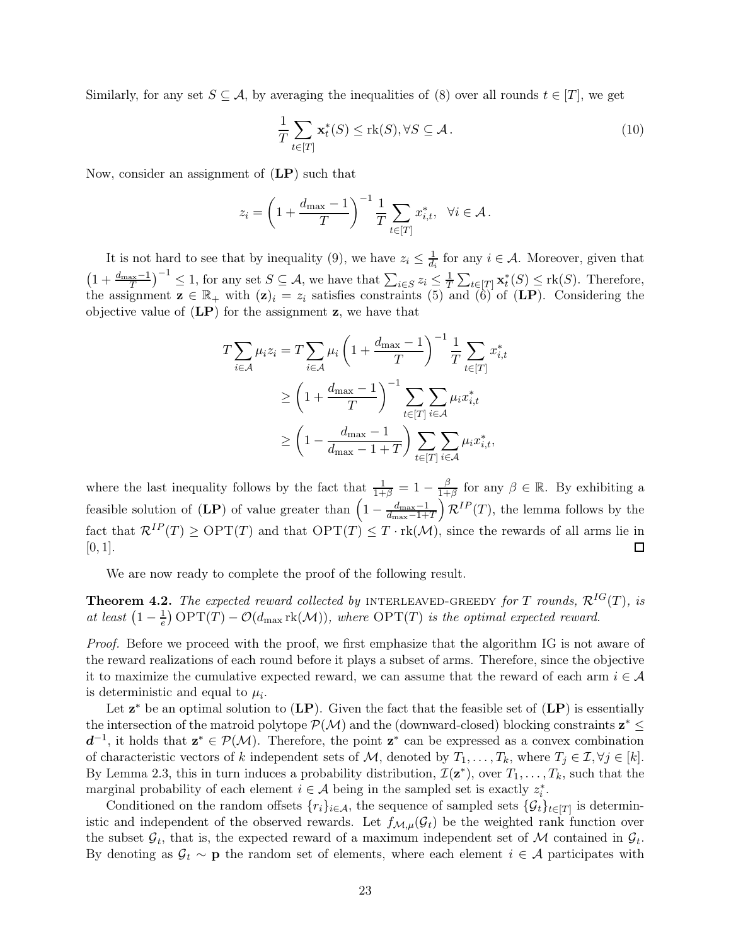Similarly, for any set  $S \subseteq \mathcal{A}$ , by averaging the inequalities of [\(8\)](#page-21-2) over all rounds  $t \in [T]$ , we get

$$
\frac{1}{T} \sum_{t \in [T]} \mathbf{x}_t^*(S) \le \text{rk}(S), \forall S \subseteq \mathcal{A} \,.
$$
\n(10)

Now, consider an assignment of ([LP](#page-20-1)) such that

$$
z_i = \left(1 + \frac{d_{\max} - 1}{T}\right)^{-1} \frac{1}{T} \sum_{t \in [T]} x_{i,t}^*, \quad \forall i \in \mathcal{A}.
$$

It is not hard to see that by inequality [\(9\)](#page-21-3), we have  $z_i \leq \frac{1}{d_i}$  $\frac{1}{d_i}$  for any  $i \in \mathcal{A}$ . Moreover, given that  $\left(1+\frac{d_{\max}-1}{T}\right)^{-1} \leq 1$ , for any set  $S \subseteq \mathcal{A}$ , we have that  $\sum_{i \in S} z_i \leq \frac{1}{T}$  $\frac{1}{T} \sum_{t \in [T]} \mathbf{x}_t^*(S) \leq \text{rk}(S)$ . Therefore, the assignment  $\mathbf{z} \in \mathbb{R}_+$  with  $(\mathbf{z})_i = z_i$  satisfies constraints [\(5\)](#page-20-3) and  $(6)$  of  $(L\mathbf{P})$ . Considering the objective value of  $(LP)$  $(LP)$  $(LP)$  for the assignment  $z$ , we have that

$$
T \sum_{i \in \mathcal{A}} \mu_i z_i = T \sum_{i \in \mathcal{A}} \mu_i \left( 1 + \frac{d_{\max} - 1}{T} \right)^{-1} \frac{1}{T} \sum_{t \in [T]} x_{i,t}^*
$$
  
\n
$$
\ge \left( 1 + \frac{d_{\max} - 1}{T} \right)^{-1} \sum_{t \in [T]} \sum_{i \in \mathcal{A}} \mu_i x_{i,t}^*
$$
  
\n
$$
\ge \left( 1 - \frac{d_{\max} - 1}{d_{\max} - 1 + T} \right) \sum_{t \in [T]} \sum_{i \in \mathcal{A}} \mu_i x_{i,t}^*,
$$

where the last inequality follows by the fact that  $\frac{1}{1+\beta} = 1 - \frac{\beta}{1+\beta}$  $\frac{\beta}{1+\beta}$  for any  $\beta \in \mathbb{R}$ . By exhibiting a feasible solution of  $(\mathbf{LP})$  $(\mathbf{LP})$  $(\mathbf{LP})$  of value greater than  $\left(1 - \frac{d_{\text{max}} - 1}{d_{\text{max}} - 1 + \cdots}\right)$  $\frac{d_{\text{max}}-1}{d_{\text{max}}-1+T}$   $\mathcal{R}^{IP}(T)$ , the lemma follows by the fact that  $\mathcal{R}^{IP}(T) \ge \text{OPT}(T)$  and that  $\text{OPT}(T) \le T \cdot \text{rk}(\mathcal{M})$ , since the rewards of all arms lie in  $\Box$  $[0, 1]$ .

We are now ready to complete the proof of the following result.

**Theorem 4.2.** The expected reward collected by INTERLEAVED-GREEDY for T rounds,  $\mathcal{R}^{IG}(T)$ , is at least  $(1 - \frac{1}{e}) \text{OPT}(T) - \mathcal{O}(d_{\text{max}} \text{rk}(\mathcal{M}))$ , where  $\text{OPT}(T)$  is the optimal expected reward.

Proof. Before we proceed with the proof, we first emphasize that the algorithm IG is not aware of the reward realizations of each round before it plays a subset of arms. Therefore, since the objective it to maximize the cumulative expected reward, we can assume that the reward of each arm  $i \in \mathcal{A}$ is deterministic and equal to  $\mu_i$ .

Let  $z^*$  be an optimal solution to  $(LP)$  $(LP)$  $(LP)$ . Given the fact that the feasible set of  $(LP)$  is essentially the intersection of the matroid polytope  $\mathcal{P}(\mathcal{M})$  and the (downward-closed) blocking constraints  $z^* \leq$  $d^{-1}$ , it holds that  $z^* \in \mathcal{P}(\mathcal{M})$ . Therefore, the point  $z^*$  can be expressed as a convex combination of characteristic vectors of k independent sets of M, denoted by  $T_1, \ldots, T_k$ , where  $T_j \in \mathcal{I}, \forall j \in [k]$ . By Lemma [2.3,](#page-6-3) this in turn induces a probability distribution,  $\mathcal{I}(\mathbf{z}^*)$ , over  $T_1, \ldots, T_k$ , such that the marginal probability of each element  $i \in \mathcal{A}$  being in the sampled set is exactly  $z_i^*$ .

Conditioned on the random offsets  $\{r_i\}_{i\in\mathcal{A}}$ , the sequence of sampled sets  $\{\mathcal{G}_t\}_{t\in[T]}$  is deterministic and independent of the observed rewards. Let  $f_{\mathcal{M},\mu}(\mathcal{G}_t)$  be the weighted rank function over the subset  $\mathcal{G}_t$ , that is, the expected reward of a maximum independent set of M contained in  $\mathcal{G}_t$ . By denoting as  $\mathcal{G}_t \sim \mathbf{p}$  the random set of elements, where each element  $i \in \mathcal{A}$  participates with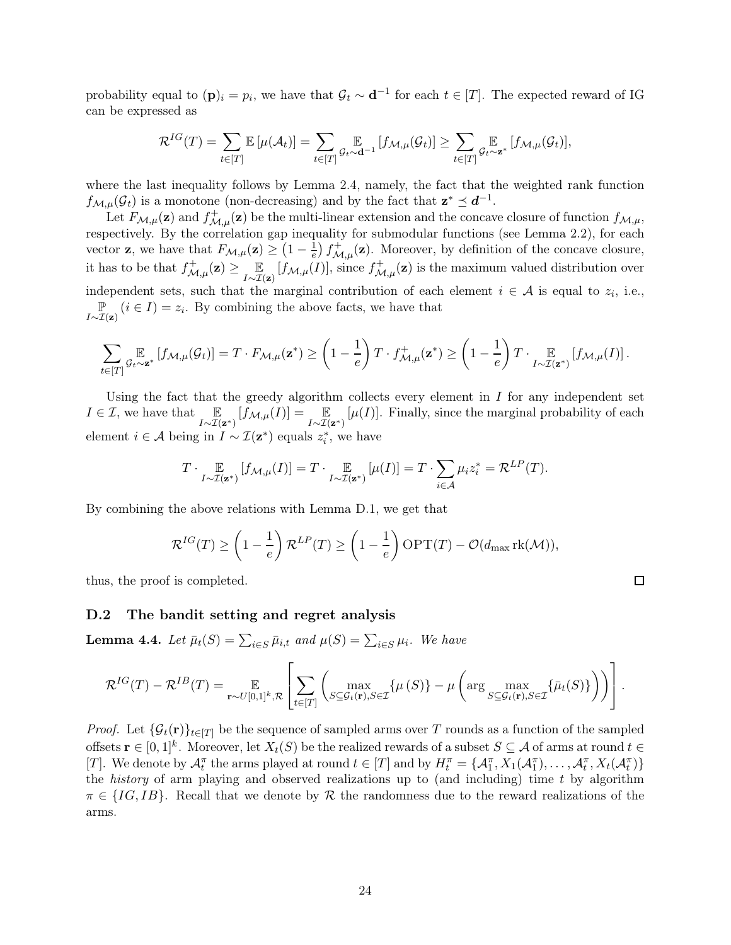probability equal to  $(\mathbf{p})_i = p_i$ , we have that  $\mathcal{G}_t \sim \mathbf{d}^{-1}$  for each  $t \in [T]$ . The expected reward of IG can be expressed as

$$
\mathcal{R}^{IG}(T) = \sum_{t \in [T]} \mathbb{E}\left[\mu(\mathcal{A}_t)\right] = \sum_{t \in [T]} \mathbb{E}_{t \sim \mathbf{d}^{-1}}\left[f_{\mathcal{M},\mu}(\mathcal{G}_t)\right] \ge \sum_{t \in [T]} \mathbb{E}_{t \sim \mathbf{z}^*}\left[f_{\mathcal{M},\mu}(\mathcal{G}_t)\right],
$$

where the last inequality follows by Lemma [2.4,](#page-6-2) namely, the fact that the weighted rank function  $f_{\mathcal{M},\mu}(\mathcal{G}_t)$  is a monotone (non-decreasing) and by the fact that  $\mathbf{z}^* \preceq \mathbf{d}^{-1}$ .

Let  $F_{\mathcal{M},\mu}(\mathbf{z})$  and  $f_{\mathcal{M},\mu}^+(\mathbf{z})$  be the multi-linear extension and the concave closure of function  $f_{\mathcal{M},\mu}$ , respectively. By the correlation gap inequality for submodular functions (see Lemma [2.2\)](#page-5-0), for each vector **z**, we have that  $F_{\mathcal{M},\mu}(\mathbf{z}) \geq \left(1 - \frac{1}{e}\right)$  $\frac{1}{e}$   $f^+_{\mathcal{M},\mu}(\mathbf{z})$ . Moreover, by definition of the concave closure, it has to be that  $f_{\mathcal{M},\mu}^+(\mathbf{z}) \geq \mathop{\mathbb{E}}_{I \sim \mathcal{I}(\mathbf{z})} [f_{\mathcal{M},\mu}(I)],$  since  $f_{\mathcal{M},\mu}^+(\mathbf{z})$  is the maximum valued distribution over independent sets, such that the marginal contribution of each element  $i \in \mathcal{A}$  is equal to  $z_i$ , i.e., P  $\mathbb{P}_{I \sim \mathcal{I}(\mathbf{z})}(i \in I) = z_i$ . By combining the above facts, we have that

$$
\sum_{t\in[T]}\underset{\mathcal{G}_{t}\sim\mathbf{z}^{*}}{\mathbb{E}}\left[f_{\mathcal{M},\mu}(\mathcal{G}_{t})\right]=T\cdot F_{\mathcal{M},\mu}(\mathbf{z}^{*})\geq\left(1-\frac{1}{e}\right)T\cdot f_{\mathcal{M},\mu}^{+}(\mathbf{z}^{*})\geq\left(1-\frac{1}{e}\right)T\cdot\underset{I\sim\mathcal{I}(\mathbf{z}^{*})}{\mathbb{E}}\left[f_{\mathcal{M},\mu}(I)\right].
$$

Using the fact that the greedy algorithm collects every element in  $I$  for any independent set  $I \in \mathcal{I}$ , we have that  $\mathbb{E}_{I \sim \mathcal{I}(\mathbf{z}^*)}[f_{\mathcal{M},\mu}(I)] = \mathbb{E}_{I \sim \mathcal{I}(\mathbf{z}^*)}[\mu(I)].$  Finally, since the marginal probability of each element  $i \in \mathcal{A}$  being in  $I \sim \mathcal{I}(\mathbf{z}^*)$  equals  $z_i^*$ , we have

$$
T \cdot \mathop{\mathbb{E}}_{I \sim \mathcal{I}(\mathbf{z}^*)} [f_{\mathcal{M},\mu}(I)] = T \cdot \mathop{\mathbb{E}}_{I \sim \mathcal{I}(\mathbf{z}^*)} [\mu(I)] = T \cdot \sum_{i \in \mathcal{A}} \mu_i z_i^* = \mathcal{R}^{LP}(T).
$$

By combining the above relations with Lemma [D.1,](#page-21-4) we get that

$$
\mathcal{R}^{IG}(T) \ge \left(1 - \frac{1}{e}\right) \mathcal{R}^{LP}(T) \ge \left(1 - \frac{1}{e}\right) \text{OPT}(T) - \mathcal{O}(d_{\text{max}} \text{rk}(\mathcal{M})),
$$

 $\Box$ 

thus, the proof is completed.

### D.2 The bandit setting and regret analysis

**Lemma 4.4.** Let  $\bar{\mu}_t(S) = \sum_{i \in S} \bar{\mu}_{i,t}$  and  $\mu(S) = \sum_{i \in S} \mu_i$ . We have

$$
\mathcal{R}^{IG}(T) - \mathcal{R}^{IB}(T) = \mathop{\mathbb{E}}_{\mathbf{r} \sim U[0,1]^k, \mathcal{R}} \left[ \sum_{t \in [T]} \left( \max_{S \subseteq \mathcal{G}_t(\mathbf{r}), S \in \mathcal{I}} \{\mu(S)\} - \mu \left( \arg \max_{S \subseteq \mathcal{G}_t(\mathbf{r}), S \in \mathcal{I}} \{\bar{\mu}_t(S)\} \right) \right) \right].
$$

*Proof.* Let  $\{\mathcal{G}_t(\mathbf{r})\}_{t\in[T]}$  be the sequence of sampled arms over T rounds as a function of the sampled offsets  $\mathbf{r} \in [0,1]^k$ . Moreover, let  $X_t(S)$  be the realized rewards of a subset  $S \subseteq \mathcal{A}$  of arms at round  $t \in \mathbb{R}$ [T]. We denote by  $\mathcal{A}_t^{\pi}$  the arms played at round  $t \in [T]$  and by  $H_t^{\pi} = {\mathcal{A}_1^{\pi}, X_1(\mathcal{A}_1^{\pi}), \dots, \mathcal{A}_t^{\pi}, X_t(\mathcal{A}_t^{\pi})}$ the *history* of arm playing and observed realizations up to (and including) time  $t$  by algorithm  $\pi \in \{IG, IB\}$ . Recall that we denote by R the randomness due to the reward realizations of the arms.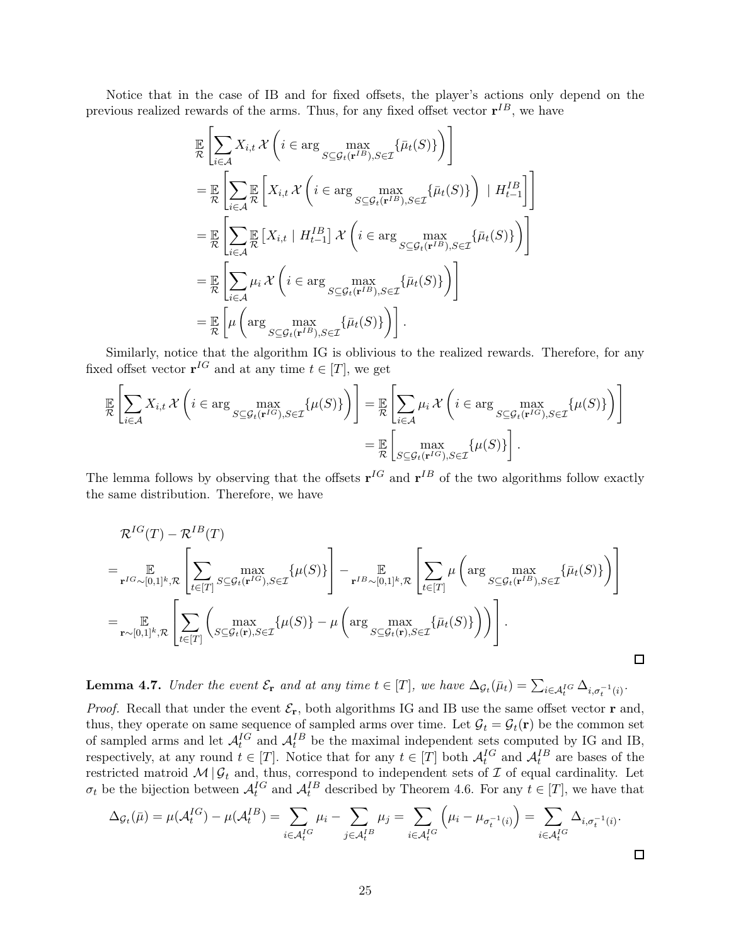Notice that in the case of IB and for fixed offsets, the player's actions only depend on the previous realized rewards of the arms. Thus, for any fixed offset vector  $\mathbf{r}^{IB}$ , we have

$$
\mathbb{E}\left[\sum_{i\in\mathcal{A}}X_{i,t}\mathcal{X}\left(i\in\arg\max_{S\subseteq\mathcal{G}_t(\mathbf{r}^{IB}),S\in\mathcal{I}}\{\bar{\mu}_t(S)\}\right)\right]
$$
\n
$$
=\mathbb{E}\left[\sum_{i\in\mathcal{A}}\mathbb{E}\left[X_{i,t}\mathcal{X}\left(i\in\arg\max_{S\subseteq\mathcal{G}_t(\mathbf{r}^{IB}),S\in\mathcal{I}}\{\bar{\mu}_t(S)\}\right) \mid H_{t-1}^{IB}\right]\right]
$$
\n
$$
=\mathbb{E}\left[\sum_{i\in\mathcal{A}}\mathbb{E}\left[X_{i,t} \mid H_{t-1}^{IB}\right]\mathcal{X}\left(i\in\arg\max_{S\subseteq\mathcal{G}_t(\mathbf{r}^{IB}),S\in\mathcal{I}}\{\bar{\mu}_t(S)\}\right)\right]
$$
\n
$$
=\mathbb{E}\left[\sum_{i\in\mathcal{A}}\mu_i\mathcal{X}\left(i\in\arg\max_{S\subseteq\mathcal{G}_t(\mathbf{r}^{IB}),S\in\mathcal{I}}\{\bar{\mu}_t(S)\}\right)\right]
$$
\n
$$
=\mathbb{E}\left[\mu\left(\arg\max_{S\subseteq\mathcal{G}_t(\mathbf{r}^{IB}),S\in\mathcal{I}}\{\bar{\mu}_t(S)\}\right)\right].
$$

Similarly, notice that the algorithm IG is oblivious to the realized rewards. Therefore, for any fixed offset vector  $\mathbf{r}^{IG}$  and at any time  $t \in [T]$ , we get

$$
\mathbb{E}\left[\sum_{i\in\mathcal{A}}X_{i,t}\mathcal{X}\left(i\in\arg\max_{S\subseteq\mathcal{G}_{t}(\mathbf{r}^{IG}),S\in\mathcal{I}}\{\mu(S)\}\right)\right] = \mathbb{E}\left[\sum_{i\in\mathcal{A}}\mu_{i}\mathcal{X}\left(i\in\arg\max_{S\subseteq\mathcal{G}_{t}(\mathbf{r}^{IG}),S\in\mathcal{I}}\{\mu(S)\}\right)\right]
$$

$$
= \mathbb{E}\left[\max_{S\subseteq\mathcal{G}_{t}(\mathbf{r}^{IG}),S\in\mathcal{I}}\{\mu(S)\}\right].
$$

The lemma follows by observing that the offsets  $r^{IG}$  and  $r^{IB}$  of the two algorithms follow exactly the same distribution. Therefore, we have

$$
\mathcal{R}^{IG}(T) - \mathcal{R}^{IB}(T)
$$
\n
$$
= \underset{\mathbf{r} \sim [0,1]^k, \mathcal{R}}{\mathbb{E}} \left[ \sum_{t \in [T]} \underset{S \subseteq \mathcal{G}_t(\mathbf{r}), S \in \mathcal{I}}{\max} \{ \mu(S) \} \right] - \underset{\mathbf{r}^{IB} \sim [0,1]^k, \mathcal{R}}{\mathbb{E}} \left[ \sum_{t \in [T]} \mu \left( \arg \underset{S \subseteq \mathcal{G}_t(\mathbf{r}), S \in \mathcal{I}}{\max} \{ \bar{\mu}_t(S) \} \right) \right]
$$
\n
$$
= \underset{\mathbf{r} \sim [0,1]^k, \mathcal{R}}{\mathbb{E}} \left[ \sum_{t \in [T]} \left( \underset{S \subseteq \mathcal{G}_t(\mathbf{r}), S \in \mathcal{I}}{\max} \{ \mu(S) \} - \mu \left( \arg \underset{S \subseteq \mathcal{G}_t(\mathbf{r}), S \in \mathcal{I}}{\max} \{ \bar{\mu}_t(S) \} \right) \right) \right].
$$

 $\Box$ 

**Lemma 4.7.** Under the event  $\mathcal{E}_{\mathbf{r}}$  and at any time  $t \in [T]$ , we have  $\Delta_{\mathcal{G}_t}(\bar{\mu}_t) = \sum_{i \in \mathcal{A}_t^{IG}} \Delta_{i, \sigma_t^{-1}(i)}$ .

*Proof.* Recall that under the event  $\mathcal{E}_{r}$ , both algorithms IG and IB use the same offset vector r and, thus, they operate on same sequence of sampled arms over time. Let  $\mathcal{G}_t = \mathcal{G}_t(\mathbf{r})$  be the common set of sampled arms and let  $\mathcal{A}_t^{IG}$  and  $\mathcal{A}_t^{IB}$  be the maximal independent sets computed by IG and IB, respectively, at any round  $t \in [T]$ . Notice that for any  $t \in [T]$  both  $\mathcal{A}_t^{IG}$  and  $\mathcal{A}_t^{IB}$  are bases of the restricted matroid  $M | \mathcal{G}_t$  and, thus, correspond to independent sets of  $\mathcal I$  of equal cardinality. Let  $\sigma_t$  be the bijection between  $\mathcal{A}_t^{IG}$  and  $\mathcal{A}_t^{IB}$  described by Theorem [4.6.](#page-10-1) For any  $t \in [T]$ , we have that

$$
\Delta_{\mathcal{G}_t}(\bar{\mu}) = \mu(\mathcal{A}_t^{IG}) - \mu(\mathcal{A}_t^{IB}) = \sum_{i \in \mathcal{A}_t^{IG}} \mu_i - \sum_{j \in \mathcal{A}_t^{IB}} \mu_j = \sum_{i \in \mathcal{A}_t^{IG}} \left(\mu_i - \mu_{\sigma_t^{-1}(i)}\right) = \sum_{i \in \mathcal{A}_t^{IG}} \Delta_{i, \sigma_t^{-1}(i)}.
$$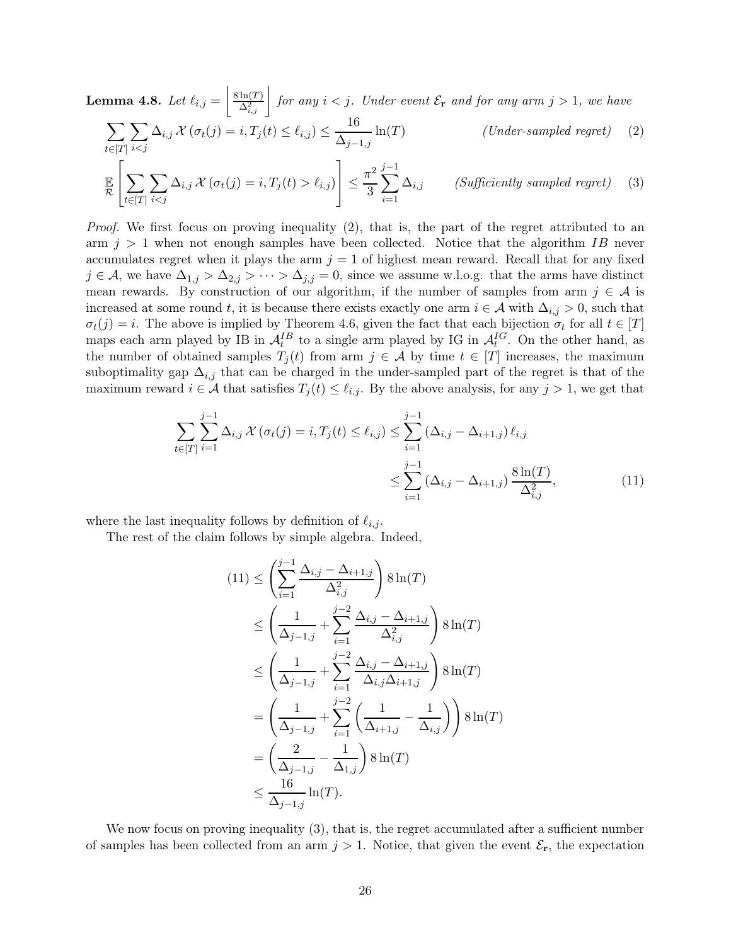**Lemma 4.8.** Let 
$$
\ell_{i,j} = \left[ \frac{8 \ln(T)}{\Delta_{i,j}^2} \right]
$$
 for any  $i < j$ . Under event  $\mathcal{E}_{\mathbf{r}}$  and for any arm  $j > 1$ , we have\n
$$
\sum_{t \in [T]} \sum_{i < j} \Delta_{i,j} \mathcal{X}(\sigma_t(j) = i, T_j(t) \le \ell_{i,j}) \le \frac{16}{\Delta_{j-1,j}} \ln(T) \qquad \text{(Under-sampled regret)} \tag{2}
$$

$$
\mathbb{E}\left[\sum_{t\in[T]}\sum_{i\ell_{i,j}\right)\right]\leq\frac{\pi^{2}}{3}\sum_{i=1}^{j-1}\Delta_{i,j}\qquad\text{(Sufficiently sampled regret)}\tag{3}
$$

Proof. We first focus on proving inequality [\(2\)](#page-11-1), that is, the part of the regret attributed to an arm  $j > 1$  when not enough samples have been collected. Notice that the algorithm IB never accumulates regret when it plays the arm  $j = 1$  of highest mean reward. Recall that for any fixed  $j \in \mathcal{A}$ , we have  $\Delta_{1,j} > \Delta_{2,j} > \cdots > \Delta_{j,j} = 0$ , since we assume w.l.o.g. that the arms have distinct mean rewards. By construction of our algorithm, if the number of samples from arm  $j \in A$  is increased at some round t, it is because there exists exactly one arm  $i \in \mathcal{A}$  with  $\Delta_{i,j} > 0$ , such that  $\sigma_t(j) = i$ . The above is implied by Theorem [4.6,](#page-10-1) given the fact that each bijection  $\sigma_t$  for all  $t \in [T]$ maps each arm played by IB in  $\mathcal{A}_t^{IB}$  to a single arm played by IG in  $\mathcal{A}_t^{IG}$ . On the other hand, as the number of obtained samples  $T_i(t)$  from arm  $j \in \mathcal{A}$  by time  $t \in [T]$  increases, the maximum suboptimality gap  $\Delta_{i,j}$  that can be charged in the under-sampled part of the regret is that of the maximum reward  $i \in \mathcal{A}$  that satisfies  $T_j(t) \leq \ell_{i,j}$ . By the above analysis, for any  $j > 1$ , we get that

$$
\sum_{t \in [T]} \sum_{i=1}^{j-1} \Delta_{i,j} \mathcal{X}(\sigma_t(j) = i, T_j(t) \le \ell_{i,j}) \le \sum_{i=1}^{j-1} (\Delta_{i,j} - \Delta_{i+1,j}) \ell_{i,j} \le \sum_{i=1}^{j-1} (\Delta_{i,j} - \Delta_{i+1,j}) \frac{8 \ln(T)}{\Delta_{i,j}^2},
$$
\n(11)

where the last inequality follows by definition of  $\ell_{i,j}$ .

The rest of the claim follows by simple algebra. Indeed,

<span id="page-25-0"></span>
$$
(11) \leq \left(\sum_{i=1}^{j-1} \frac{\Delta_{i,j} - \Delta_{i+1,j}}{\Delta_{i,j}^2}\right) 8 \ln(T)
$$
  
\n
$$
\leq \left(\frac{1}{\Delta_{j-1,j}} + \sum_{i=1}^{j-2} \frac{\Delta_{i,j} - \Delta_{i+1,j}}{\Delta_{i,j}^2}\right) 8 \ln(T)
$$
  
\n
$$
\leq \left(\frac{1}{\Delta_{j-1,j}} + \sum_{i=1}^{j-2} \frac{\Delta_{i,j} - \Delta_{i+1,j}}{\Delta_{i,j}\Delta_{i+1,j}}\right) 8 \ln(T)
$$
  
\n
$$
= \left(\frac{1}{\Delta_{j-1,j}} + \sum_{i=1}^{j-2} \left(\frac{1}{\Delta_{i+1,j}} - \frac{1}{\Delta_{i,j}}\right)\right) 8 \ln(T)
$$
  
\n
$$
= \left(\frac{2}{\Delta_{j-1,j}} - \frac{1}{\Delta_{1,j}}\right) 8 \ln(T)
$$
  
\n
$$
\leq \frac{16}{\Delta_{j-1,j}} \ln(T).
$$

We now focus on proving inequality [\(3\)](#page-11-2), that is, the regret accumulated after a sufficient number of samples has been collected from an arm  $j > 1$ . Notice, that given the event  $\mathcal{E}_{r}$ , the expectation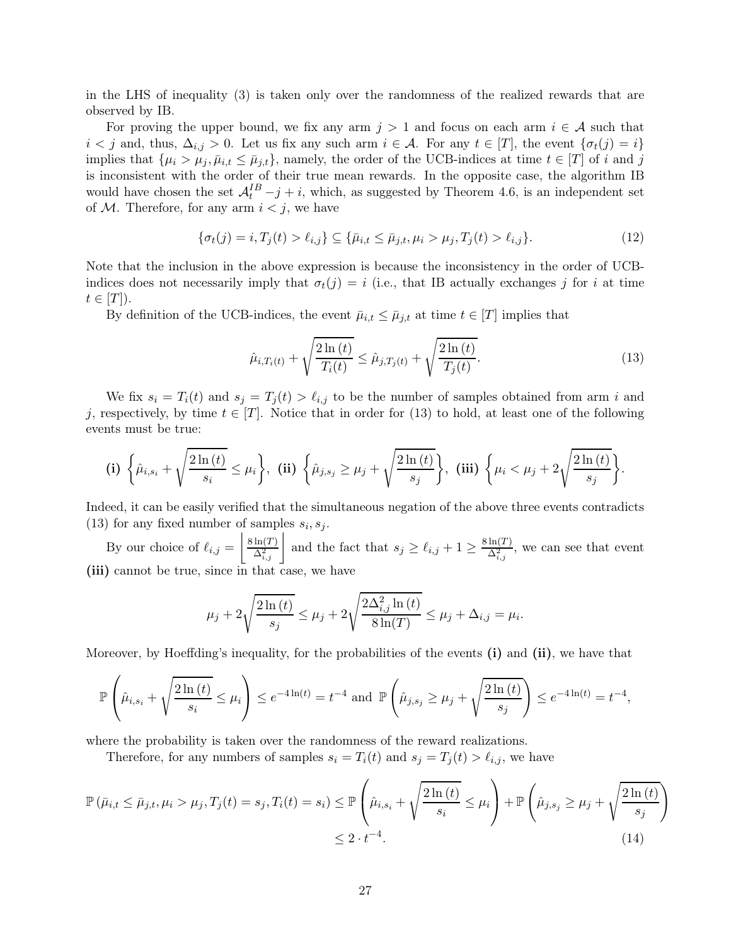in the LHS of inequality [\(3\)](#page-11-2) is taken only over the randomness of the realized rewards that are observed by IB.

For proving the upper bound, we fix any arm  $j > 1$  and focus on each arm  $i \in A$  such that  $i < j$  and, thus,  $\Delta_{i,j} > 0$ . Let us fix any such arm  $i \in \mathcal{A}$ . For any  $t \in [T]$ , the event  $\{\sigma_t(j) = i\}$ implies that  $\{\mu_i > \mu_j, \bar{\mu}_{i,t} \leq \bar{\mu}_{j,t}\}\$ , namely, the order of the UCB-indices at time  $t \in [T]$  of i and j is inconsistent with the order of their true mean rewards. In the opposite case, the algorithm IB would have chosen the set  $A_t^{IB} - j + i$ , which, as suggested by Theorem [4.6,](#page-10-1) is an independent set of  $M$ . Therefore, for any arm  $i < j$ , we have

$$
\{\sigma_t(j) = i, T_j(t) > \ell_{i,j}\} \subseteq \{\bar{\mu}_{i,t} \le \bar{\mu}_{j,t}, \mu_i > \mu_j, T_j(t) > \ell_{i,j}\}.
$$
\n(12)

Note that the inclusion in the above expression is because the inconsistency in the order of UCBindices does not necessarily imply that  $\sigma_t(j) = i$  (i.e., that IB actually exchanges j for i at time  $t \in |T|$ ).

By definition of the UCB-indices, the event  $\bar{\mu}_{i,t} \leq \bar{\mu}_{j,t}$  at time  $t \in [T]$  implies that

<span id="page-26-1"></span><span id="page-26-0"></span>
$$
\hat{\mu}_{i,T_i(t)} + \sqrt{\frac{2\ln(t)}{T_i(t)}} \le \hat{\mu}_{j,T_j(t)} + \sqrt{\frac{2\ln(t)}{T_j(t)}}.
$$
\n(13)

We fix  $s_i = T_i(t)$  and  $s_j = T_j(t) > \ell_{i,j}$  to be the number of samples obtained from arm i and j, respectively, by time  $t \in [T]$ . Notice that in order for [\(13\)](#page-26-0) to hold, at least one of the following events must be true:

$$
\textbf{(i)}\ \bigg\{\hat{\mu}_{i,s_i}+\sqrt{\frac{2\ln{(t)}}{s_i}}\leq \mu_i\bigg\},\ \ \textbf{(ii)}\ \bigg\{\hat{\mu}_{j,s_j}\geq \mu_j+\sqrt{\frac{2\ln{(t)}}{s_j}}\bigg\},\ \ \textbf{(iii)}\ \bigg\{\mu_i<\mu_j+2\sqrt{\frac{2\ln{(t)}}{s_j}}\bigg\}.
$$

Indeed, it can be easily verified that the simultaneous negation of the above three events contradicts [\(13\)](#page-26-0) for any fixed number of samples  $s_i, s_j$ .

By our choice of  $\ell_{i,j} = \left|\frac{8 \ln(T)}{\Delta_{i,j}^2}\right|$  and the fact that  $s_j \geq \ell_{i,j} + 1 \geq \frac{8 \ln(T)}{\Delta_{i,j}^2}$ , we can see that event (iii) cannot be true, since in that case, we have

<span id="page-26-2"></span>
$$
\mu_j + 2\sqrt{\frac{2\ln(t)}{s_j}} \le \mu_j + 2\sqrt{\frac{2\Delta_{i,j}^2 \ln(t)}{8\ln(T)}} \le \mu_j + \Delta_{i,j} = \mu_i.
$$

Moreover, by Hoeffding's inequality, for the probabilities of the events (i) and (ii), we have that

$$
\mathbb{P}\left(\hat{\mu}_{i,s_i} + \sqrt{\frac{2\ln{(t)}}{s_i}} \le \mu_i\right) \le e^{-4\ln(t)} = t^{-4} \text{ and } \mathbb{P}\left(\hat{\mu}_{j,s_j} \ge \mu_j + \sqrt{\frac{2\ln{(t)}}{s_j}}\right) \le e^{-4\ln(t)} = t^{-4},
$$

where the probability is taken over the randomness of the reward realizations.

Therefore, for any numbers of samples  $s_i = T_i(t)$  and  $s_j = T_j(t) > \ell_{i,j}$ , we have

$$
\mathbb{P}\left(\bar{\mu}_{i,t} \leq \bar{\mu}_{j,t}, \mu_i > \mu_j, T_j(t) = s_j, T_i(t) = s_i\right) \leq \mathbb{P}\left(\hat{\mu}_{i,s_i} + \sqrt{\frac{2\ln(t)}{s_i}} \leq \mu_i\right) + \mathbb{P}\left(\hat{\mu}_{j,s_j} \geq \mu_j + \sqrt{\frac{2\ln(t)}{s_j}}\right) \leq 2 \cdot t^{-4}.
$$
\n(14)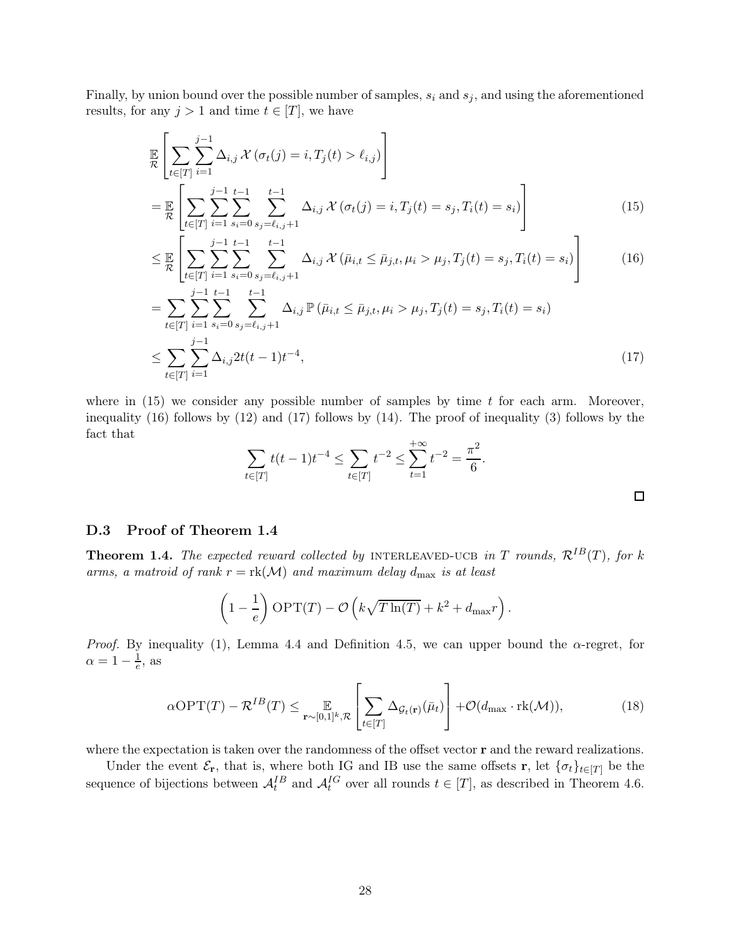Finally, by union bound over the possible number of samples,  $s_i$  and  $s_j$ , and using the aforementioned results, for any  $j > 1$  and time  $t \in [T]$ , we have

$$
\mathbb{E}\left[\sum_{t\in[T]}\sum_{i=1}^{j-1}\Delta_{i,j}\mathcal{X}(\sigma_t(j) = i, T_j(t) > \ell_{i,j})\right]
$$
\n
$$
= \mathbb{E}\left[\sum_{t\in[T]}\sum_{i=1}^{j-1}\sum_{s_i=0}^{t-1}\sum_{s_j=\ell_{i,j}+1}^{t-1}\Delta_{i,j}\mathcal{X}(\sigma_t(j) = i, T_j(t) = s_j, T_i(t) = s_i)\right]
$$
\n(15)

$$
\leq \mathbb{E}\left[\sum_{t\in[T]}\sum_{i=1}^{j-1}\sum_{s_i=0}^{t-1}\sum_{s_j=\ell_{i,j}+1}^{t-1}\Delta_{i,j}\mathcal{X}\left(\bar{\mu}_{i,t}\leq\bar{\mu}_{j,t},\mu_i>\mu_j,T_j(t)=s_j,T_i(t)=s_i\right)\right]
$$
(16)

$$
= \sum_{t \in [T]} \sum_{i=1}^{j-1} \sum_{s_i=0}^{t-1} \sum_{s_j=t_{i,j}+1}^{t-1} \Delta_{i,j} \mathbb{P}(\bar{\mu}_{i,t} \le \bar{\mu}_{j,t}, \mu_i > \mu_j, T_j(t) = s_j, T_i(t) = s_i)
$$
  

$$
\le \sum_{t \in [T]} \sum_{i=1}^{j-1} \Delta_{i,j} 2t(t-1)t^{-4},
$$
 (17)

where in  $(15)$  we consider any possible number of samples by time t for each arm. Moreover, inequality [\(16\)](#page-27-1) follows by [\(12\)](#page-26-1) and [\(17\)](#page-27-2) follows by [\(14\)](#page-26-2). The proof of inequality [\(3\)](#page-11-2) follows by the fact that

<span id="page-27-2"></span><span id="page-27-1"></span><span id="page-27-0"></span>
$$
\sum_{t \in [T]} t(t-1)t^{-4} \le \sum_{t \in [T]} t^{-2} \le \sum_{t=1}^{+\infty} t^{-2} = \frac{\pi^2}{6}.
$$

### D.3 Proof of Theorem [1.4](#page-5-1)

**Theorem 1.4.** The expected reward collected by INTERLEAVED-UCB in T rounds,  $\mathcal{R}^{IB}(T)$ , for k arms, a matroid of rank  $r = \text{rk}(\mathcal{M})$  and maximum delay  $d_{\text{max}}$  is at least

<span id="page-27-3"></span>
$$
\left(1 - \frac{1}{e}\right) \text{OPT}(T) - \mathcal{O}\left(k\sqrt{T\ln(T)} + k^2 + d_{\text{max}}r\right).
$$

*Proof.* By inequality [\(1\)](#page-9-1), Lemma [4.4](#page-10-0) and Definition [4.5,](#page-10-3) we can upper bound the  $\alpha$ -regret, for  $\alpha = 1 - \frac{1}{e}$ , as

$$
\alpha \text{OPT}(T) - \mathcal{R}^{IB}(T) \leq \mathop{\mathbb{E}}_{\mathbf{r} \sim [0,1]^k, \mathcal{R}} \left[ \sum_{t \in [T]} \Delta_{\mathcal{G}_t(\mathbf{r})}(\bar{\mu}_t) \right] + \mathcal{O}(d_{\text{max}} \cdot \text{rk}(\mathcal{M})),\tag{18}
$$

where the expectation is taken over the randomness of the offset vector **r** and the reward realizations.

Under the event  $\mathcal{E}_{\mathbf{r}}$ , that is, where both IG and IB use the same offsets r, let  $\{\sigma_t\}_{t\in[T]}$  be the sequence of bijections between  $A_t^{IB}$  and  $A_t^{IG}$  over all rounds  $t \in [T]$ , as described in Theorem [4.6.](#page-10-1)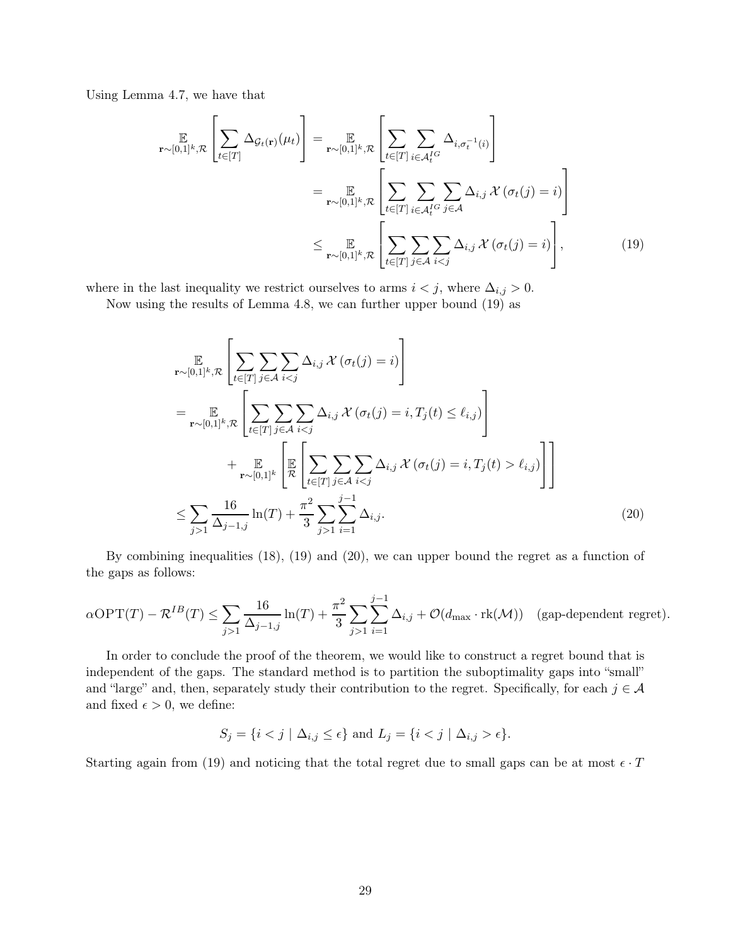Using Lemma [4.7,](#page-10-2) we have that

$$
\mathbb{E}_{\mathbf{r}\sim[0,1]^k,\mathcal{R}}\left[\sum_{t\in[T]}\Delta_{\mathcal{G}_t(\mathbf{r})}(\mu_t)\right] = \mathbb{E}_{\mathbf{r}\sim[0,1]^k,\mathcal{R}}\left[\sum_{t\in[T]}\sum_{i\in\mathcal{A}_t^{IG}}\Delta_{i,\sigma_t^{-1}(i)}\right]
$$
\n
$$
= \mathbb{E}_{\mathbf{r}\sim[0,1]^k,\mathcal{R}}\left[\sum_{t\in[T]}\sum_{i\in\mathcal{A}_t^{IG}}\sum_{j\in\mathcal{A}}\Delta_{i,j}\mathcal{X}(\sigma_t(j) = i)\right]
$$
\n
$$
\leq \mathbb{E}_{\mathbf{r}\sim[0,1]^k,\mathcal{R}}\left[\sum_{t\in[T]}\sum_{j\in\mathcal{A}}\sum_{i\n(19)
$$

where in the last inequality we restrict ourselves to arms  $i < j$ , where  $\Delta_{i,j} > 0$ .

Now using the results of Lemma [4.8,](#page-11-0) we can further upper bound [\(19\)](#page-28-0) as

<span id="page-28-0"></span>
$$
\mathbb{E}_{\mathbf{r}\sim[0,1]^k,\mathcal{R}}\left[\sum_{t\in[T]}\sum_{j\in\mathcal{A}}\sum_{i\n
$$
=\mathbb{E}_{\mathbf{r}\sim[0,1]^k,\mathcal{R}}\left[\sum_{t\in[T]}\sum_{j\in\mathcal{A}}\sum_{i\n
$$
+\mathbb{E}_{\mathbf{r}\sim[0,1]^k}\left[\mathbb{E}_{\mathcal{R}}\left[\sum_{t\in[T]}\sum_{j\in\mathcal{A}}\sum_{i\ell_{i,j})\right]\right]< math="">\n
$$
\leq \sum_{j>1}\frac{16}{\Delta_{j-1,j}}\ln(T)+\frac{\pi^2}{3}\sum_{j>1}\sum_{i=1}^{j-1}\Delta_{i,j}.\tag{20}
$$
\ell_{i,j})\right]\right]<>
$$
$$
$$

By combining inequalities [\(18\)](#page-27-3), [\(19\)](#page-28-0) and [\(20\)](#page-28-1), we can upper bound the regret as a function of the gaps as follows:

$$
\alpha \text{OPT}(T) - \mathcal{R}^{IB}(T) \le \sum_{j>1} \frac{16}{\Delta_{j-1,j}} \ln(T) + \frac{\pi^2}{3} \sum_{j>1} \sum_{i=1}^{j-1} \Delta_{i,j} + \mathcal{O}(d_{\text{max}} \cdot \text{rk}(\mathcal{M})) \quad \text{(gap-dependent regret)}.
$$

In order to conclude the proof of the theorem, we would like to construct a regret bound that is independent of the gaps. The standard method is to partition the suboptimality gaps into "small" and "large" and, then, separately study their contribution to the regret. Specifically, for each  $j \in \mathcal{A}$ and fixed  $\epsilon > 0$ , we define:

<span id="page-28-1"></span>
$$
S_j = \{i < j \mid \Delta_{i,j} \le \epsilon\} \text{ and } L_j = \{i < j \mid \Delta_{i,j} > \epsilon\}.
$$

Starting again from [\(19\)](#page-28-0) and noticing that the total regret due to small gaps can be at most  $\epsilon \cdot T$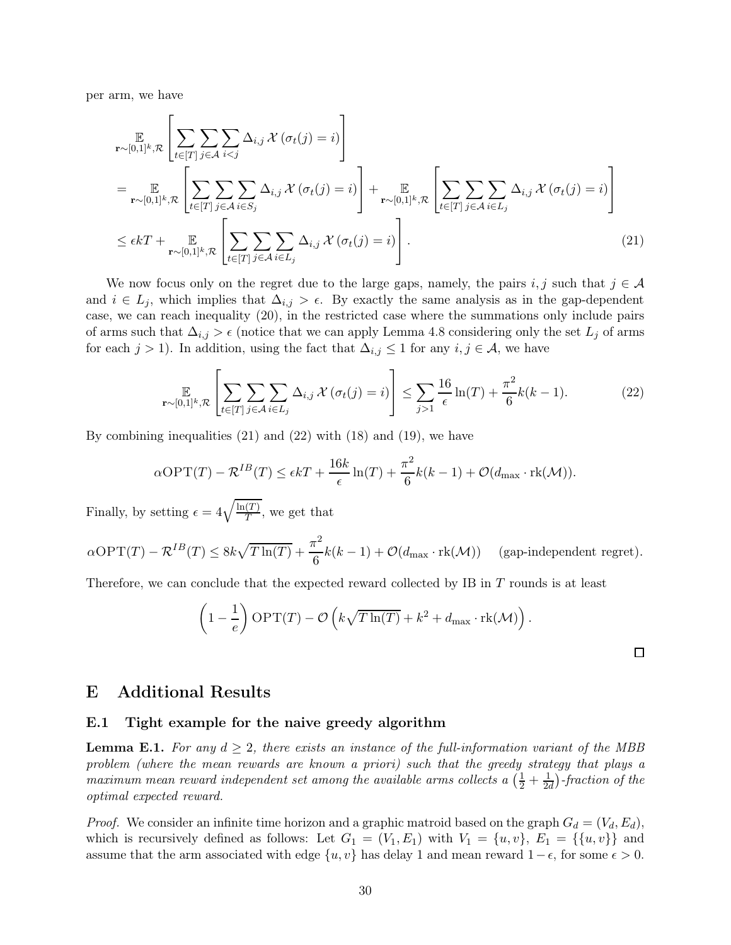per arm, we have

$$
\mathbb{E}_{\mathbf{r}\sim[0,1]^k,\mathcal{R}}\left[\sum_{t\in[T]}\sum_{j\in\mathcal{A}}\sum_{i\n
$$
=\mathbb{E}_{\mathbf{r}\sim[0,1]^k,\mathcal{R}}\left[\sum_{t\in[T]}\sum_{j\in\mathcal{A}}\sum_{i\in S_j}\Delta_{i,j}\mathcal{X}(\sigma_t(j)=i)\right]+\mathbb{E}_{\mathbf{r}\sim[0,1]^k,\mathcal{R}}\left[\sum_{t\in[T]}\sum_{j\in\mathcal{A}}\sum_{i\in L_j}\Delta_{i,j}\mathcal{X}(\sigma_t(j)=i)\right]
$$
\n
$$
\leq \epsilon kT+\mathbb{E}_{\mathbf{r}\sim[0,1]^k,\mathcal{R}}\left[\sum_{t\in[T]}\sum_{j\in\mathcal{A}}\sum_{i\in L_j}\Delta_{i,j}\mathcal{X}(\sigma_t(j)=i)\right].
$$
\n(21)
$$

We now focus only on the regret due to the large gaps, namely, the pairs i, j such that  $j \in \mathcal{A}$ and  $i \in L_j$ , which implies that  $\Delta_{i,j} > \epsilon$ . By exactly the same analysis as in the gap-dependent case, we can reach inequality [\(20\)](#page-28-1), in the restricted case where the summations only include pairs of arms such that  $\Delta_{i,j} > \epsilon$  (notice that we can apply Lemma [4.8](#page-11-0) considering only the set  $L_j$  of arms for each  $j > 1$ ). In addition, using the fact that  $\Delta_{i,j} \leq 1$  for any  $i, j \in \mathcal{A}$ , we have

$$
\mathbb{E}_{\mathbf{r}\sim[0,1]^k,\mathcal{R}}\left[\sum_{t\in[T]}\sum_{j\in\mathcal{A}}\sum_{i\in L_j}\Delta_{i,j}\,\mathcal{X}\left(\sigma_t(j)=i\right)\right]\leq \sum_{j>1}\frac{16}{\epsilon}\ln(T)+\frac{\pi^2}{6}k(k-1). \tag{22}
$$

By combining inequalities [\(21\)](#page-29-1) and [\(22\)](#page-29-2) with [\(18\)](#page-27-3) and [\(19\)](#page-28-0), we have

$$
\alpha \text{OPT}(T) - \mathcal{R}^{IB}(T) \le \epsilon kT + \frac{16k}{\epsilon} \ln(T) + \frac{\pi^2}{6} k(k-1) + \mathcal{O}(d_{\text{max}} \cdot \text{rk}(\mathcal{M})).
$$

Finally, by setting  $\epsilon = 4\sqrt{\frac{\ln(T)}{T}}$  $\frac{(1)}{T}$ , we get that

 $\alpha \text{OPT}(T) - \mathcal{R}^{IB}(T) \leq 8k\sqrt{T\ln(T)} + \frac{\pi^2}{6}$  $\frac{1}{6}k(k-1) + \mathcal{O}(d_{\text{max}} \cdot \text{rk}(\mathcal{M}))$  (gap-independent regret).

Therefore, we can conclude that the expected reward collected by IB in T rounds is at least

$$
\left(1 - \frac{1}{e}\right) \text{OPT}(T) - \mathcal{O}\left(k\sqrt{T\ln(T)} + k^2 + d_{\text{max}} \cdot \text{rk}(\mathcal{M})\right).
$$

<span id="page-29-2"></span><span id="page-29-1"></span> $\Box$ 

## <span id="page-29-0"></span>E Additional Results

### E.1 Tight example for the naive greedy algorithm

**Lemma E.1.** For any  $d \geq 2$ , there exists an instance of the full-information variant of the MBB problem (where the mean rewards are known a priori) such that the greedy strategy that plays a maximum mean reward independent set among the available arms collects a  $(\frac{1}{2} + \frac{1}{2e})$  $\frac{1}{2d}$ )-fraction of the optimal expected reward.

*Proof.* We consider an infinite time horizon and a graphic matroid based on the graph  $G_d = (V_d, E_d)$ , which is recursively defined as follows: Let  $G_1 = (V_1, E_1)$  with  $V_1 = \{u, v\}$ ,  $E_1 = \{\{u, v\}\}\$ and assume that the arm associated with edge  $\{u, v\}$  has delay 1 and mean reward  $1 - \epsilon$ , for some  $\epsilon > 0$ .